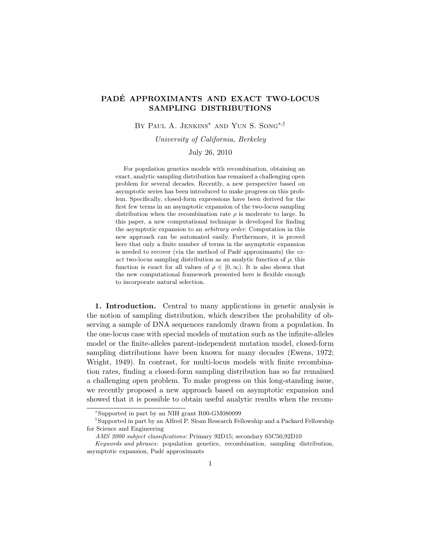## PADÉ APPROXIMANTS AND EXACT TWO-LOCUS SAMPLING DISTRIBUTIONS

By Paul A. Jenkins∗ and Yun S. Song∗,†

University of California, Berkeley

## July 26, 2010

For population genetics models with recombination, obtaining an exact, analytic sampling distribution has remained a challenging open problem for several decades. Recently, a new perspective based on asymptotic series has been introduced to make progress on this problem. Specifically, closed-form expressions have been derived for the first few terms in an asymptotic expansion of the two-locus sampling distribution when the recombination rate  $\rho$  is moderate to large. In this paper, a new computational technique is developed for finding the asymptotic expansion to an arbitrary order. Computation in this new approach can be automated easily. Furthermore, it is proved here that only a finite number of terms in the asymptotic expansion is needed to recover (via the method of Padé approximants) the  $ex$ act two-locus sampling distribution as an analytic function of  $\rho$ ; this function is exact for all values of  $\rho \in [0,\infty)$ . It is also shown that the new computational framework presented here is flexible enough to incorporate natural selection.

1. Introduction. Central to many applications in genetic analysis is the notion of sampling distribution, which describes the probability of observing a sample of DNA sequences randomly drawn from a population. In the one-locus case with special models of mutation such as the infinite-alleles model or the finite-alleles parent-independent mutation model, closed-form sampling distributions have been known for many decades (Ewens, 1972; Wright, 1949). In contrast, for multi-locus models with finite recombination rates, finding a closed-form sampling distribution has so far remained a challenging open problem. To make progress on this long-standing issue, we recently proposed a new approach based on asymptotic expansion and showed that it is possible to obtain useful analytic results when the recom-

<sup>∗</sup>Supported in part by an NIH grant R00-GM080099

<sup>†</sup>Supported in part by an Alfred P. Sloan Research Fellowship and a Packard Fellowship for Science and Engineering

AMS 2000 subject classifications: Primary 92D15; secondary 65C50,92D10

Keywords and phrases: population genetics, recombination, sampling distribution, asymptotic expansion, Padé approximants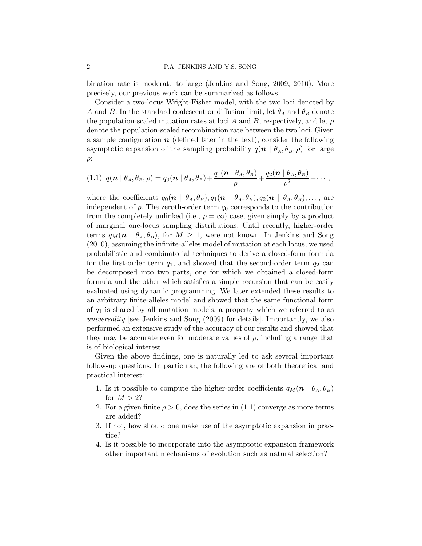bination rate is moderate to large (Jenkins and Song, 2009, 2010). More precisely, our previous work can be summarized as follows.

Consider a two-locus Wright-Fisher model, with the two loci denoted by A and B. In the standard coalescent or diffusion limit, let  $\theta_A$  and  $\theta_B$  denote the population-scaled mutation rates at loci A and B, respectively, and let  $\rho$ denote the population-scaled recombination rate between the two loci. Given a sample configuration  $n$  (defined later in the text), consider the following asymptotic expansion of the sampling probability  $q(n | \theta_A, \theta_B, \rho)$  for large  $\rho$ :

$$
(1.1) \ q(\mathbf{n} \mid \theta_A, \theta_B, \rho) = q_0(\mathbf{n} \mid \theta_A, \theta_B) + \frac{q_1(\mathbf{n} \mid \theta_A, \theta_B)}{\rho} + \frac{q_2(\mathbf{n} \mid \theta_A, \theta_B)}{\rho^2} + \cdots,
$$

where the coefficients  $q_0(n | \theta_A, \theta_B), q_1(n | \theta_A, \theta_B), q_2(n | \theta_A, \theta_B), \ldots$ , are independent of  $\rho$ . The zeroth-order term  $q_0$  corresponds to the contribution from the completely unlinked (i.e.,  $\rho = \infty$ ) case, given simply by a product of marginal one-locus sampling distributions. Until recently, higher-order terms  $q_M(n \mid \theta_A, \theta_B)$ , for  $M \geq 1$ , were not known. In Jenkins and Song (2010), assuming the infinite-alleles model of mutation at each locus, we used probabilistic and combinatorial techniques to derive a closed-form formula for the first-order term  $q_1$ , and showed that the second-order term  $q_2$  can be decomposed into two parts, one for which we obtained a closed-form formula and the other which satisfies a simple recursion that can be easily evaluated using dynamic programming. We later extended these results to an arbitrary finite-alleles model and showed that the same functional form of  $q_1$  is shared by all mutation models, a property which we referred to as universality [see Jenkins and Song (2009) for details]. Importantly, we also performed an extensive study of the accuracy of our results and showed that they may be accurate even for moderate values of  $\rho$ , including a range that is of biological interest.

Given the above findings, one is naturally led to ask several important follow-up questions. In particular, the following are of both theoretical and practical interest:

- 1. Is it possible to compute the higher-order coefficients  $q_M(n \mid \theta_A, \theta_B)$ for  $M > 2$ ?
- 2. For a given finite  $\rho > 0$ , does the series in (1.1) converge as more terms are added?
- 3. If not, how should one make use of the asymptotic expansion in practice?
- 4. Is it possible to incorporate into the asymptotic expansion framework other important mechanisms of evolution such as natural selection?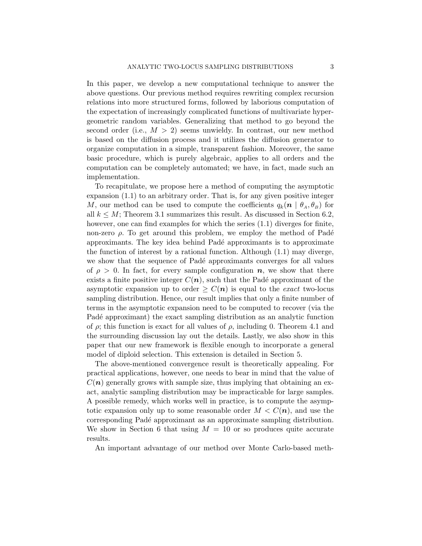In this paper, we develop a new computational technique to answer the above questions. Our previous method requires rewriting complex recursion relations into more structured forms, followed by laborious computation of the expectation of increasingly complicated functions of multivariate hypergeometric random variables. Generalizing that method to go beyond the second order (i.e.,  $M > 2$ ) seems unwieldy. In contrast, our new method is based on the diffusion process and it utilizes the diffusion generator to organize computation in a simple, transparent fashion. Moreover, the same basic procedure, which is purely algebraic, applies to all orders and the computation can be completely automated; we have, in fact, made such an implementation.

To recapitulate, we propose here a method of computing the asymptotic expansion (1.1) to an arbitrary order. That is, for any given positive integer M, our method can be used to compute the coefficients  $q_k(n | \theta_A, \theta_B)$  for all  $k \leq M$ ; Theorem 3.1 summarizes this result. As discussed in Section 6.2, however, one can find examples for which the series (1.1) diverges for finite, non-zero  $\rho$ . To get around this problem, we employ the method of Padé approximants. The key idea behind Padé approximants is to approximate the function of interest by a rational function. Although (1.1) may diverge, we show that the sequence of Padé approximants converges for all values of  $\rho > 0$ . In fact, for every sample configuration n, we show that there exists a finite positive integer  $C(n)$ , such that the Padé approximant of the asymptotic expansion up to order  $\geq C(n)$  is equal to the *exact* two-locus sampling distribution. Hence, our result implies that only a finite number of terms in the asymptotic expansion need to be computed to recover (via the Padé approximant) the exact sampling distribution as an analytic function of  $\rho$ ; this function is exact for all values of  $\rho$ , including 0. Theorem 4.1 and the surrounding discussion lay out the details. Lastly, we also show in this paper that our new framework is flexible enough to incorporate a general model of diploid selection. This extension is detailed in Section 5.

The above-mentioned convergence result is theoretically appealing. For practical applications, however, one needs to bear in mind that the value of  $C(n)$  generally grows with sample size, thus implying that obtaining an exact, analytic sampling distribution may be impracticable for large samples. A possible remedy, which works well in practice, is to compute the asymptotic expansion only up to some reasonable order  $M < C(n)$ , and use the corresponding Pad´e approximant as an approximate sampling distribution. We show in Section 6 that using  $M = 10$  or so produces quite accurate results.

An important advantage of our method over Monte Carlo-based meth-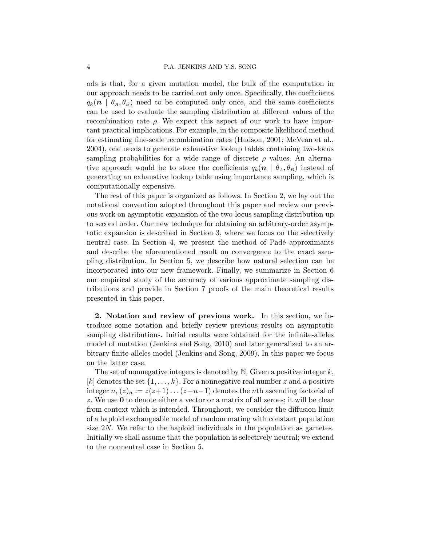ods is that, for a given mutation model, the bulk of the computation in our approach needs to be carried out only once. Specifically, the coefficients  $q_k(n \mid \theta_A, \theta_B)$  need to be computed only once, and the same coefficients can be used to evaluate the sampling distribution at different values of the recombination rate  $\rho$ . We expect this aspect of our work to have important practical implications. For example, in the composite likelihood method for estimating fine-scale recombination rates (Hudson, 2001; McVean et al., 2004), one needs to generate exhaustive lookup tables containing two-locus sampling probabilities for a wide range of discrete  $\rho$  values. An alternative approach would be to store the coefficients  $q_k(n | \theta_A, \theta_B)$  instead of generating an exhaustive lookup table using importance sampling, which is computationally expensive.

The rest of this paper is organized as follows. In Section 2, we lay out the notational convention adopted throughout this paper and review our previous work on asymptotic expansion of the two-locus sampling distribution up to second order. Our new technique for obtaining an arbitrary-order asymptotic expansion is described in Section 3, where we focus on the selectively neutral case. In Section 4, we present the method of Padé approximants and describe the aforementioned result on convergence to the exact sampling distribution. In Section 5, we describe how natural selection can be incorporated into our new framework. Finally, we summarize in Section 6 our empirical study of the accuracy of various approximate sampling distributions and provide in Section 7 proofs of the main theoretical results presented in this paper.

2. Notation and review of previous work. In this section, we introduce some notation and briefly review previous results on asymptotic sampling distributions. Initial results were obtained for the infinite-alleles model of mutation (Jenkins and Song, 2010) and later generalized to an arbitrary finite-alleles model (Jenkins and Song, 2009). In this paper we focus on the latter case.

The set of nonnegative integers is denoted by  $\mathbb N$ . Given a positive integer k, [k] denotes the set  $\{1, \ldots, k\}$ . For a nonnegative real number z and a positive integer  $n, (z)_n := z(z+1) \dots (z+n-1)$  denotes the *n*th ascending factorial of z. We use 0 to denote either a vector or a matrix of all zeroes; it will be clear from context which is intended. Throughout, we consider the diffusion limit of a haploid exchangeable model of random mating with constant population size 2N. We refer to the haploid individuals in the population as gametes. Initially we shall assume that the population is selectively neutral; we extend to the nonneutral case in Section 5.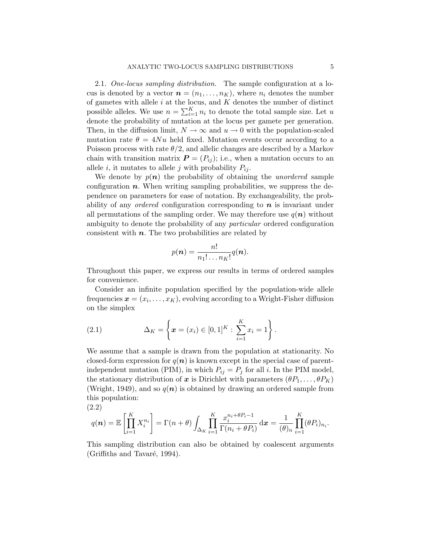2.1. One-locus sampling distribution. The sample configuration at a locus is denoted by a vector  $\mathbf{n} = (n_1, \ldots, n_K)$ , where  $n_i$  denotes the number of gametes with allele  $i$  at the locus, and  $K$  denotes the number of distinct possible alleles. We use  $n = \sum_{i=1}^{K} n_i$  to denote the total sample size. Let u denote the probability of mutation at the locus per gamete per generation. Then, in the diffusion limit,  $N \to \infty$  and  $u \to 0$  with the population-scaled mutation rate  $\theta = 4Nu$  held fixed. Mutation events occur according to a Poisson process with rate  $\theta/2$ , and allelic changes are described by a Markov chain with transition matrix  $\boldsymbol{P} = (P_{ij})$ ; i.e., when a mutation occurs to an allele i, it mutates to allele j with probability  $P_{ij}$ .

We denote by  $p(n)$  the probability of obtaining the *unordered* sample configuration  $n$ . When writing sampling probabilities, we suppress the dependence on parameters for ease of notation. By exchangeability, the probability of any *ordered* configuration corresponding to  $n$  is invariant under all permutations of the sampling order. We may therefore use  $q(n)$  without ambiguity to denote the probability of any *particular* ordered configuration consistent with  $n$ . The two probabilities are related by

$$
p(\boldsymbol{n}) = \frac{n!}{n_1! \dots n_K!} q(\boldsymbol{n}).
$$

Throughout this paper, we express our results in terms of ordered samples for convenience.

Consider an infinite population specified by the population-wide allele frequencies  $\boldsymbol{x} = (x_i, \dots, x_K)$ , evolving according to a Wright-Fisher diffusion on the simplex

(2.1) 
$$
\Delta_K = \left\{ \boldsymbol{x} = (x_i) \in [0,1]^K : \sum_{i=1}^K x_i = 1 \right\}.
$$

We assume that a sample is drawn from the population at stationarity. No closed-form expression for  $q(n)$  is known except in the special case of parentindependent mutation (PIM), in which  $P_{ij} = P_j$  for all i. In the PIM model, the stationary distribution of x is Dirichlet with parameters  $(\theta P_1, \ldots, \theta P_K)$ (Wright, 1949), and so  $q(n)$  is obtained by drawing an ordered sample from this population:

$$
(2.2)
$$

$$
q(\boldsymbol{n}) = \mathbb{E}\left[\prod_{i=1}^K X_i^{n_i}\right] = \Gamma(n+\theta) \int_{\Delta_K} \prod_{i=1}^K \frac{x_i^{n_i+\theta P_i-1}}{\Gamma(n_i+\theta P_i)} d\boldsymbol{x} = \frac{1}{(\theta)_n} \prod_{i=1}^K (\theta P_i)_{n_i}.
$$

This sampling distribution can also be obtained by coalescent arguments  $(Griffiths and Tavaré, 1994).$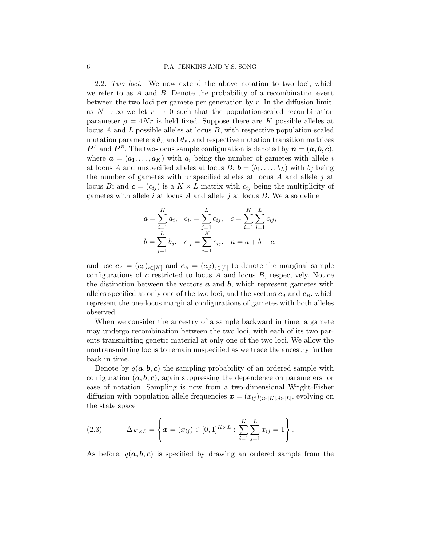2.2. Two loci. We now extend the above notation to two loci, which we refer to as  $A$  and  $B$ . Denote the probability of a recombination event between the two loci per gamete per generation by  $r$ . In the diffusion limit, as  $N \to \infty$  we let  $r \to 0$  such that the population-scaled recombination parameter  $\rho = 4Nr$  is held fixed. Suppose there are K possible alleles at locus A and L possible alleles at locus  $B$ , with respective population-scaled mutation parameters  $\theta_A$  and  $\theta_B$ , and respective mutation transition matrices  $\mathbf{P}^A$  and  $\mathbf{P}^B$ . The two-locus sample configuration is denoted by  $\mathbf{n} = (\mathbf{a}, \mathbf{b}, \mathbf{c})$ , where  $\mathbf{a} = (a_1, \ldots, a_K)$  with  $a_i$  being the number of gametes with allele i at locus A and unspecified alleles at locus  $B; \mathbf{b} = (b_1, \ldots, b_L)$  with  $b_i$  being the number of gametes with unspecified alleles at locus  $A$  and allele  $j$  at locus B; and  $\mathbf{c} = (c_{ij})$  is a  $K \times L$  matrix with  $c_{ij}$  being the multiplicity of gametes with allele  $i$  at locus  $A$  and allele  $j$  at locus  $B$ . We also define

$$
a = \sum_{i=1}^{K} a_i, \quad c_i = \sum_{j=1}^{L} c_{ij}, \quad c = \sum_{i=1}^{K} \sum_{j=1}^{L} c_{ij},
$$
  

$$
b = \sum_{j=1}^{L} b_j, \quad c_{\cdot j} = \sum_{i=1}^{K} c_{ij}, \quad n = a + b + c,
$$

and use  $c_A = (c_i)_{i \in [K]}$  and  $c_B = (c_j)_{j \in [L]}$  to denote the marginal sample configurations of  $c$  restricted to locus  $A$  and locus  $B$ , respectively. Notice the distinction between the vectors  $\boldsymbol{a}$  and  $\boldsymbol{b}$ , which represent gametes with alleles specified at only one of the two loci, and the vectors  $c_A$  and  $c_B$ , which represent the one-locus marginal configurations of gametes with both alleles observed.

When we consider the ancestry of a sample backward in time, a gamete may undergo recombination between the two loci, with each of its two parents transmitting genetic material at only one of the two loci. We allow the nontransmitting locus to remain unspecified as we trace the ancestry further back in time.

Denote by  $q(a, b, c)$  the sampling probability of an ordered sample with configuration  $(a, b, c)$ , again suppressing the dependence on parameters for ease of notation. Sampling is now from a two-dimensional Wright-Fisher diffusion with population allele frequencies  $\boldsymbol{x} = (x_{ij})_{(i \in [K], j \in [L])}$ , evolving on the state space

(2.3) 
$$
\Delta_{K \times L} = \left\{ \boldsymbol{x} = (x_{ij}) \in [0,1]^{K \times L} : \sum_{i=1}^{K} \sum_{j=1}^{L} x_{ij} = 1 \right\}.
$$

As before,  $q(a, b, c)$  is specified by drawing an ordered sample from the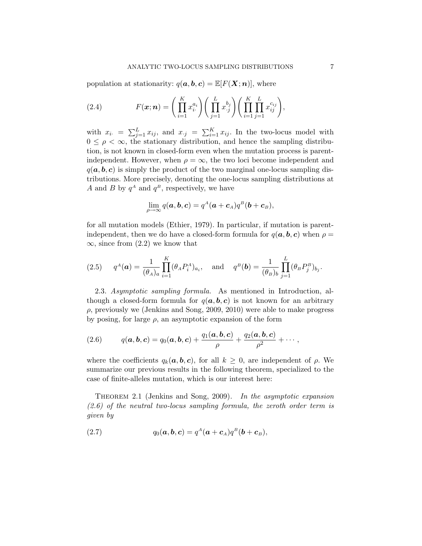population at stationarity:  $q(\boldsymbol{a}, \boldsymbol{b}, \boldsymbol{c}) = \mathbb{E}[F(\boldsymbol{X}; \boldsymbol{n})]$ , where

(2.4) 
$$
F(\boldsymbol{x};\boldsymbol{n}) = \left(\prod_{i=1}^K x_i^{a_i}\right) \left(\prod_{j=1}^L x_j^{b_j}\right) \left(\prod_{i=1}^K \prod_{j=1}^L x_{ij}^{c_{ij}}\right),
$$

with  $x_{i.} = \sum_{j=1}^{L} x_{ij}$ , and  $x_{.j} = \sum_{i=1}^{K} x_{ij}$ . In the two-locus model with  $0 \leq \rho < \infty$ , the stationary distribution, and hence the sampling distribution, is not known in closed-form even when the mutation process is parentindependent. However, when  $\rho = \infty$ , the two loci become independent and  $q(a, b, c)$  is simply the product of the two marginal one-locus sampling distributions. More precisely, denoting the one-locus sampling distributions at A and B by  $q^A$  and  $q^B$ , respectively, we have

$$
\lim_{\rho\to\infty}q(\boldsymbol{a},\boldsymbol{b},\boldsymbol{c})=q^A(\boldsymbol{a}+\boldsymbol{c}_A)q^B(\boldsymbol{b}+\boldsymbol{c}_B),
$$

for all mutation models (Ethier, 1979). In particular, if mutation is parentindependent, then we do have a closed-form formula for  $q(\mathbf{a}, \mathbf{b}, \mathbf{c})$  when  $\rho =$  $\infty$ , since from (2.2) we know that

(2.5) 
$$
q^A(\mathbf{a}) = \frac{1}{(\theta_A)_a} \prod_{i=1}^K (\theta_A P_i^A)_{a_i}
$$
, and  $q^B(\mathbf{b}) = \frac{1}{(\theta_B)_b} \prod_{j=1}^L (\theta_B P_j^B)_{b_j}$ .

2.3. Asymptotic sampling formula. As mentioned in Introduction, although a closed-form formula for  $q(a, b, c)$  is not known for an arbitrary  $\rho$ , previously we (Jenkins and Song, 2009, 2010) were able to make progress by posing, for large  $\rho$ , an asymptotic expansion of the form

(2.6) 
$$
q(\boldsymbol{a},\boldsymbol{b},\boldsymbol{c})=q_0(\boldsymbol{a},\boldsymbol{b},\boldsymbol{c})+\frac{q_1(\boldsymbol{a},\boldsymbol{b},\boldsymbol{c})}{\rho}+\frac{q_2(\boldsymbol{a},\boldsymbol{b},\boldsymbol{c})}{\rho^2}+\cdots,
$$

where the coefficients  $q_k(a, b, c)$ , for all  $k \geq 0$ , are independent of  $\rho$ . We summarize our previous results in the following theorem, specialized to the case of finite-alleles mutation, which is our interest here:

Theorem 2.1 (Jenkins and Song, 2009). In the asymptotic expansion  $(2.6)$  of the neutral two-locus sampling formula, the zeroth order term is given by

(2.7) 
$$
q_0(\mathbf{a},\mathbf{b},\mathbf{c})=q^A(\mathbf{a}+\mathbf{c}_A)q^B(\mathbf{b}+\mathbf{c}_B),
$$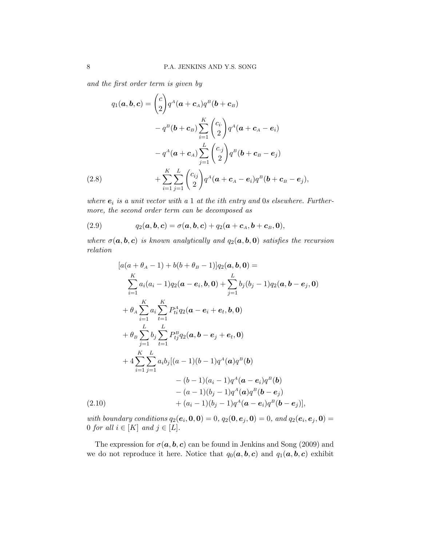and the first order term is given by

$$
q_1(\boldsymbol{a}, \boldsymbol{b}, \boldsymbol{c}) = {c \choose 2} q^A (\boldsymbol{a} + \boldsymbol{c}_A) q^B (\boldsymbol{b} + \boldsymbol{c}_B)
$$
  

$$
- q^B (\boldsymbol{b} + \boldsymbol{c}_B) \sum_{i=1}^K {c_i \choose 2} q^A (\boldsymbol{a} + \boldsymbol{c}_A - \boldsymbol{e}_i)
$$
  

$$
- q^A (\boldsymbol{a} + \boldsymbol{c}_A) \sum_{j=1}^L {c_j \choose 2} q^B (\boldsymbol{b} + \boldsymbol{c}_B - \boldsymbol{e}_j)
$$
  
(2.8) 
$$
+ \sum_{i=1}^K \sum_{j=1}^L {c_{ij} \choose 2} q^A (\boldsymbol{a} + \boldsymbol{c}_A - \boldsymbol{e}_i) q^B (\boldsymbol{b} + \boldsymbol{c}_B - \boldsymbol{e}_j),
$$

where  $e_i$  is a unit vector with a 1 at the ith entry and 0s elsewhere. Furthermore, the second order term can be decomposed as

(2.9) 
$$
q_2(\boldsymbol{a},\boldsymbol{b},\boldsymbol{c})=\sigma(\boldsymbol{a},\boldsymbol{b},\boldsymbol{c})+q_2(\boldsymbol{a}+\boldsymbol{c}_A,\boldsymbol{b}+\boldsymbol{c}_B,\boldsymbol{0}),
$$

where  $\sigma(\mathbf{a}, \mathbf{b}, \mathbf{c})$  is known analytically and  $q_2(\mathbf{a}, \mathbf{b}, \mathbf{0})$  satisfies the recursion relation

$$
[a(a + \theta_{A} - 1) + b(b + \theta_{B} - 1)]q_{2}(a, b, 0) =
$$
\n
$$
\sum_{i=1}^{K} a_{i}(a_{i} - 1)q_{2}(a - e_{i}, b, 0) + \sum_{j=1}^{L} b_{j}(b_{j} - 1)q_{2}(a, b - e_{j}, 0)
$$
\n
$$
+ \theta_{A} \sum_{i=1}^{K} a_{i} \sum_{t=1}^{K} P_{ti}^{A}q_{2}(a - e_{i} + e_{t}, b, 0)
$$
\n
$$
+ \theta_{B} \sum_{j=1}^{L} b_{j} \sum_{t=1}^{L} P_{tj}^{B}q_{2}(a, b - e_{j} + e_{t}, 0)
$$
\n
$$
+ 4 \sum_{i=1}^{K} \sum_{j=1}^{L} a_{i}b_{j}[(a - 1)(b - 1)q^{A}(a)q^{B}(b) - (b - 1)(a_{i} - 1)q^{A}(a - e_{i})q^{B}(b) - (a - 1)(b_{j} - 1)q^{A}(a)q^{B}(b - e_{j})
$$
\n(2.10)\n
$$
+ (a_{i} - 1)(b_{j} - 1)q^{A}(a - e_{i})q^{B}(b - e_{j})],
$$

with boundary conditions  $q_2(e_i, 0, 0) = 0$ ,  $q_2(0, e_j, 0) = 0$ , and  $q_2(e_i, e_j, 0) = 0$ 0 for all  $i \in [K]$  and  $j \in [L]$ .

The expression for  $\sigma(\mathbf{a}, \mathbf{b}, \mathbf{c})$  can be found in Jenkins and Song (2009) and we do not reproduce it here. Notice that  $q_0(a, b, c)$  and  $q_1(a, b, c)$  exhibit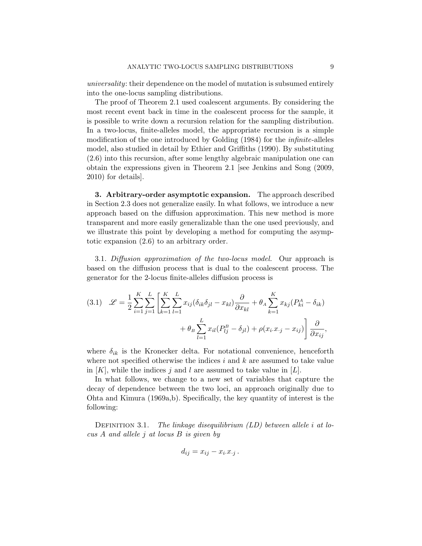universality: their dependence on the model of mutation is subsumed entirely into the one-locus sampling distributions.

The proof of Theorem 2.1 used coalescent arguments. By considering the most recent event back in time in the coalescent process for the sample, it is possible to write down a recursion relation for the sampling distribution. In a two-locus, finite-alleles model, the appropriate recursion is a simple modification of the one introduced by Golding (1984) for the *infinite*-alleles model, also studied in detail by Ethier and Griffiths (1990). By substituting (2.6) into this recursion, after some lengthy algebraic manipulation one can obtain the expressions given in Theorem 2.1 [see Jenkins and Song (2009, 2010) for details].

3. Arbitrary-order asymptotic expansion. The approach described in Section 2.3 does not generalize easily. In what follows, we introduce a new approach based on the diffusion approximation. This new method is more transparent and more easily generalizable than the one used previously, and we illustrate this point by developing a method for computing the asymptotic expansion (2.6) to an arbitrary order.

3.1. Diffusion approximation of the two-locus model. Our approach is based on the diffusion process that is dual to the coalescent process. The generator for the 2-locus finite-alleles diffusion process is

(3.1) 
$$
\mathscr{L} = \frac{1}{2} \sum_{i=1}^{K} \sum_{j=1}^{L} \left[ \sum_{k=1}^{K} \sum_{l=1}^{L} x_{ij} (\delta_{ik} \delta_{jl} - x_{kl}) \frac{\partial}{\partial x_{kl}} + \theta_{A} \sum_{k=1}^{K} x_{kj} (P_{ki}^{A} - \delta_{ik}) + \theta_{B} \sum_{l=1}^{L} x_{il} (P_{lj}^{B} - \delta_{jl}) + \rho (x_{i} . x_{\cdot j} - x_{ij}) \right] \frac{\partial}{\partial x_{ij}},
$$

where  $\delta_{ik}$  is the Kronecker delta. For notational convenience, henceforth where not specified otherwise the indices  $i$  and  $k$  are assumed to take value in  $[K]$ , while the indices j and l are assumed to take value in  $[L]$ .

In what follows, we change to a new set of variables that capture the decay of dependence between the two loci, an approach originally due to Ohta and Kimura (1969a,b). Specifically, the key quantity of interest is the following:

DEFINITION 3.1. The linkage disequilibrium  $(LD)$  between allele i at locus A and allele j at locus B is given by

$$
d_{ij} = x_{ij} - x_i \cdot x_{\cdot j} \, .
$$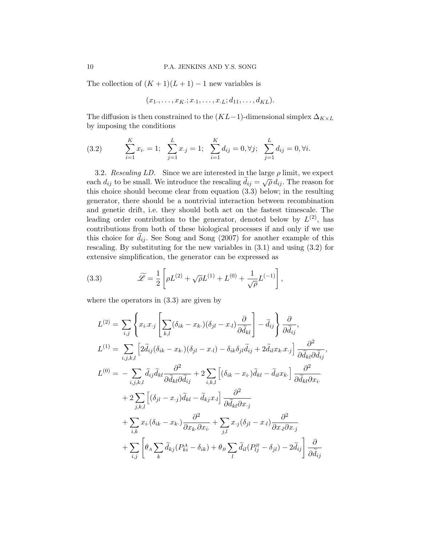The collection of  $(K + 1)(L + 1) - 1$  new variables is

$$
(x_1,\ldots,x_K;x_{\cdot 1},\ldots,x_{\cdot L};d_{11},\ldots,d_{KL}).
$$

The diffusion is then constrained to the  $(KL-1)$ -dimensional simplex  $\Delta_{K\times L}$ by imposing the conditions

(3.2) 
$$
\sum_{i=1}^{K} x_{i} = 1; \sum_{j=1}^{L} x_{j} = 1; \sum_{i=1}^{K} d_{ij} = 0, \forall j; \sum_{j=1}^{L} d_{ij} = 0, \forall i.
$$

3.2. Rescaling LD. Since we are interested in the large  $\rho$  limit, we expect each  $d_{ij}$  to be small. We introduce the rescaling  $\tilde{d}_{ij} = \sqrt{\rho} d_{ij}$ . The reason for this choice should become clear from equation (3.3) below; in the resulting generator, there should be a nontrivial interaction between recombination and genetic drift, i.e. they should both act on the fastest timescale. The leading order contribution to the generator, denoted below by  $L^{(2)}$ , has contributions from both of these biological processes if and only if we use this choice for  $\tilde{d}_{ij}$ . See Song and Song (2007) for another example of this rescaling. By substituting for the new variables in (3.1) and using (3.2) for extensive simplification, the generator can be expressed as

(3.3) 
$$
\widetilde{\mathscr{L}} = \frac{1}{2} \left[ \rho L^{(2)} + \sqrt{\rho} L^{(1)} + L^{(0)} + \frac{1}{\sqrt{\rho}} L^{(-1)} \right],
$$

where the operators in (3.3) are given by

$$
L^{(2)} = \sum_{i,j} \left\{ x_i x_{\cdot j} \left[ \sum_{k,l} (\delta_{ik} - x_{k\cdot})(\delta_{jl} - x_{\cdot l}) \frac{\partial}{\partial \tilde{d}_{kl}} \right] - \tilde{d}_{ij} \right\} \frac{\partial}{\partial \tilde{d}_{ij}},
$$
  
\n
$$
L^{(1)} = \sum_{i,j,k,l} \left[ 2\tilde{d}_{ij} (\delta_{ik} - x_{k\cdot})(\delta_{jl} - x_{\cdot l}) - \delta_{ik} \delta_{jl} \tilde{d}_{ij} + 2\tilde{d}_{il} x_{k\cdot} x_{\cdot j} \right] \frac{\partial^2}{\partial \tilde{d}_{kl} \partial \tilde{d}_{ij}},
$$
  
\n
$$
L^{(0)} = -\sum_{i,j,k,l} \tilde{d}_{ij} \tilde{d}_{kl} \frac{\partial^2}{\partial \tilde{d}_{kl} \partial \tilde{d}_{ij}} + 2 \sum_{i,k,l} \left[ (\delta_{ik} - x_{i\cdot}) \tilde{d}_{kl} - \tilde{d}_{il} x_{k\cdot} \right] \frac{\partial^2}{\partial \tilde{d}_{kl} \partial x_{i\cdot}} + 2 \sum_{j,k,l} \left[ (\delta_{jl} - x_{\cdot j}) \tilde{d}_{kl} - \tilde{d}_{kj} x_{\cdot l} \right] \frac{\partial^2}{\partial \tilde{d}_{kl} \partial x_{\cdot j}} + \sum_{i,k} x_i (\delta_{ik} - x_{k\cdot}) \frac{\partial^2}{\partial x_{k\cdot} \partial x_{i\cdot}} + \sum_{j,l} x_{\cdot j} (\delta_{jl} - x_{\cdot l}) \frac{\partial^2}{\partial x_{\cdot l} \partial x_{\cdot j}} + \sum_{i,j} \tilde{d}_{i,j} (P_{ij}^B - \delta_{jl}) - 2\tilde{d}_{ij} \right] \frac{\partial}{\partial \tilde{d}_{ij}}
$$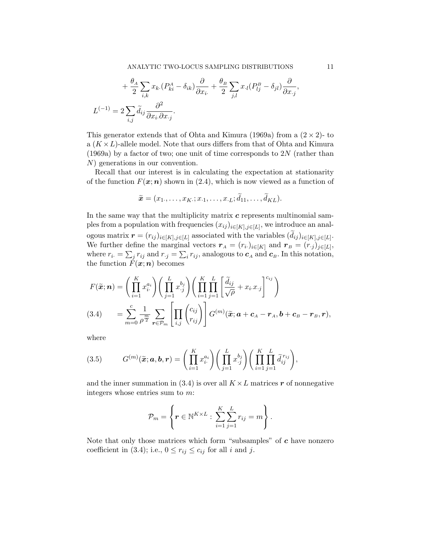$$
+\frac{\theta_A}{2}\sum_{i,k}x_k(P_{ki}^A-\delta_{ik})\frac{\partial}{\partial x_i}+\frac{\theta_B}{2}\sum_{j,l}x_l(P_{lj}^B-\delta_{jl})\frac{\partial}{\partial x_j},
$$
  

$$
L^{(-1)}=2\sum_{i,j}\tilde{d}_{ij}\frac{\partial^2}{\partial x_i\partial x_j}.
$$

This generator extends that of Ohta and Kimura (1969a) from a  $(2 \times 2)$ - to a  $(K \times L)$ -allele model. Note that ours differs from that of Ohta and Kimura (1969a) by a factor of two; one unit of time corresponds to  $2N$  (rather than N) generations in our convention.

Recall that our interest is in calculating the expectation at stationarity of the function  $F(x; n)$  shown in (2.4), which is now viewed as a function of

$$
\widetilde{\boldsymbol{x}}=(x_1,\ldots,x_K;x_{\cdot 1},\ldots,x_{\cdot L};\widetilde{d}_{11},\ldots,\widetilde{d}_{KL}).
$$

In the same way that the multiplicity matrix  $c$  represents multinomial samples from a population with frequencies  $(x_{ij})_{i\in[K],j\in[L]}$ , we introduce an analogous matrix  $\boldsymbol{r} = (r_{ij})_{i \in [K], j \in [L]}$  associated with the variables  $(d_{ij})_{i \in [K], j \in [L]}$ . We further define the marginal vectors  $r_A = (r_i)_{i \in [K]}$  and  $r_B = (r_{.j})_{j \in [L]},$ where  $r_i = \sum_j r_{ij}$  and  $r_{\cdot j} = \sum_i r_{ij}$ , analogous to  $c_A$  and  $c_B$ . In this notation, the function  $F(\boldsymbol{x}; \boldsymbol{n})$  becomes

$$
F(\widetilde{\boldsymbol{x}}; \boldsymbol{n}) = \left(\prod_{i=1}^{K} x_i^{a_i}\right) \left(\prod_{j=1}^{L} x_j^{b_j}\right) \left(\prod_{i=1}^{K} \prod_{j=1}^{L} \left[\frac{\widetilde{d}_{ij}}{\sqrt{\rho}} + x_i \cdot x_j\right]^{c_{ij}}\right)
$$
\n
$$
(3.4) \qquad = \sum_{m=0}^{c} \frac{1}{\rho^{\frac{m}{2}}} \sum_{\boldsymbol{r} \in \mathcal{P}_m} \left[\prod_{i,j} {c_{ij} \choose r_{ij}}\right] G^{(m)}(\widetilde{\boldsymbol{x}}; \boldsymbol{a} + \boldsymbol{c}_A - \boldsymbol{r}_A, \boldsymbol{b} + \boldsymbol{c}_B - \boldsymbol{r}_B, \boldsymbol{r}),
$$

where

(3.5) 
$$
G^{(m)}(\widetilde{\boldsymbol{x}}; \boldsymbol{a}, \boldsymbol{b}, \boldsymbol{r}) = \left(\prod_{i=1}^K x_i^{a_i}\right) \left(\prod_{j=1}^L x_j^{b_j}\right) \left(\prod_{i=1}^K \prod_{j=1}^L \widetilde{d}_{ij}^{r_{ij}}\right),
$$

and the inner summation in (3.4) is over all  $K \times L$  matrices r of nonnegative integers whose entries sum to m:

$$
\mathcal{P}_m = \left\{ \boldsymbol{r} \in \mathbb{N}^{K \times L} : \sum_{i=1}^K \sum_{j=1}^L r_{ij} = m \right\}.
$$

Note that only those matrices which form "subsamples" of  $c$  have nonzero coefficient in (3.4); i.e.,  $0 \le r_{ij} \le c_{ij}$  for all i and j.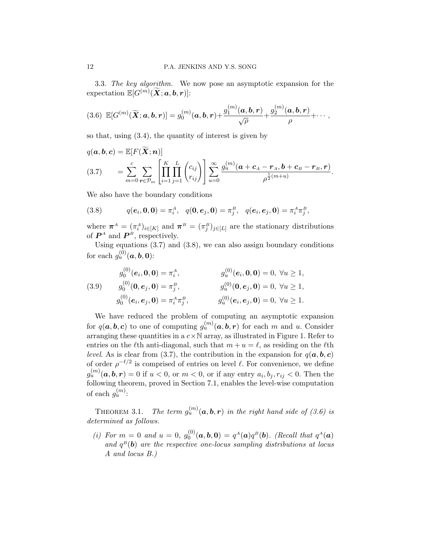3.3. The key algorithm. We now pose an asymptotic expansion for the  $\text{expectation }\mathbb{E}[G^{(m)}(\widetilde{\bm{X}};\bm{a},\bm{b},\bm{r})]\text{:}$ 

$$
(3.6) \ \mathbb{E}[G^{(m)}(\widetilde{\boldsymbol{X}}; \boldsymbol{a}, \boldsymbol{b}, \boldsymbol{r})] = g_0^{(m)}(\boldsymbol{a}, \boldsymbol{b}, \boldsymbol{r}) + \frac{g_1^{(m)}(\boldsymbol{a}, \boldsymbol{b}, \boldsymbol{r})}{\sqrt{\rho}} + \frac{g_2^{(m)}(\boldsymbol{a}, \boldsymbol{b}, \boldsymbol{r})}{\rho} + \cdots,
$$

so that, using (3.4), the quantity of interest is given by

$$
q(\boldsymbol{a},\boldsymbol{b},\boldsymbol{c}) = \mathbb{E}[F(\widetilde{\boldsymbol{X}};\boldsymbol{n})]
$$
  
(3.7) 
$$
= \sum_{m=0}^{c} \sum_{\boldsymbol{r} \in \mathcal{P}_m} \left[ \prod_{i=1}^{K} \prod_{j=1}^{L} {c_{ij} \choose r_{ij}} \right] \sum_{u=0}^{\infty} \frac{g_u^{(m)}(\boldsymbol{a} + \boldsymbol{c}_A - \boldsymbol{r}_A, \boldsymbol{b} + \boldsymbol{c}_B - \boldsymbol{r}_B, \boldsymbol{r})}{\rho^{\frac{1}{2}(m+u)}}.
$$

We also have the boundary conditions

(3.8) 
$$
q(e_i, \mathbf{0}, \mathbf{0}) = \pi_i^A, \quad q(\mathbf{0}, e_j, \mathbf{0}) = \pi_j^B, \quad q(e_i, e_j, \mathbf{0}) = \pi_i^A \pi_j^B,
$$

where  $\pi^A = (\pi_i^A)_{i \in [K]}$  and  $\pi^B = (\pi_j^B)_{j \in [L]}$  are the stationary distributions of  $P^A$  and  $P^B$ , respectively.

Using equations  $(3.7)$  and  $(3.8)$ , we can also assign boundary conditions for each  $g_u^{(0)}(\boldsymbol{a},\boldsymbol{b},\boldsymbol{0})$ :

(3.9) 
$$
g_0^{(0)}(e_i, 0, 0) = \pi_i^A, \qquad g_u^{(0)}(e_i, 0, 0) = 0, \ \forall u \ge 1,
$$

$$
g_0^{(0)}(0, e_j, 0) = \pi_j^B, \qquad g_u^{(0)}(0, e_j, 0) = 0, \ \forall u \ge 1,
$$

$$
g_0^{(0)}(e_i, e_j, 0) = \pi_i^A \pi_j^B, \qquad g_u^{(0)}(e_i, e_j, 0) = 0, \ \forall u \ge 1.
$$

We have reduced the problem of computing an asymptotic expansion for  $q(\boldsymbol{a},\boldsymbol{b},\boldsymbol{c})$  to one of computing  $g_u^{(m)}(\boldsymbol{a},\boldsymbol{b},\boldsymbol{r})$  for each m and u. Consider arranging these quantities in a  $c \times N$  array, as illustrated in Figure 1. Refer to entries on the  $\ell$ th anti-diagonal, such that  $m + u = \ell$ , as residing on the  $\ell$ th level. As is clear from (3.7), the contribution in the expansion for  $q(a, b, c)$ of order  $\rho^{-\ell/2}$  is comprised of entries on level  $\ell$ . For convenience, we define  $g_u^{(m)}(\boldsymbol{a},\boldsymbol{b},\boldsymbol{r}) = 0$  if  $u < 0$ , or  $m < 0$ , or if any entry  $a_i, b_j, r_{ij} < 0$ . Then the following theorem, proved in Section 7.1, enables the level-wise computation of each  $g_u^{(m)}$ :

THEOREM 3.1. The term  $g_u^{(m)}(\boldsymbol{a},\boldsymbol{b},\boldsymbol{r})$  in the right hand side of (3.6) is determined as follows.

(i) For  $m = 0$  and  $u = 0$ ,  $g_0^{(0)}$  $Q_0^{(0)}(\boldsymbol{a},\boldsymbol{b},\boldsymbol{0}) = q^A(\boldsymbol{a})q^B(\boldsymbol{b}).$  (Recall that  $q^A(\boldsymbol{a})$ ) and  $q^B(\mathbf{b})$  are the respective one-locus sampling distributions at locus A and locus B.)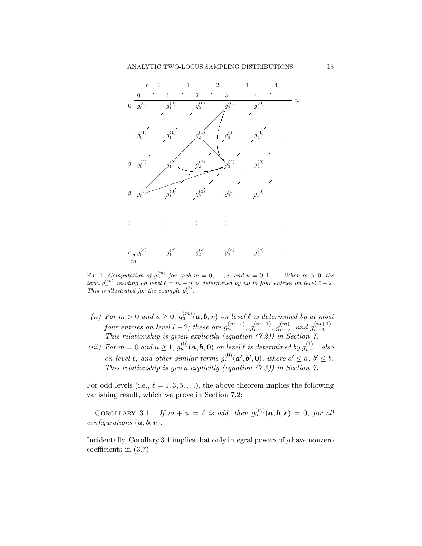

FIG 1. Computation of  $g_u^{(m)}$  for each  $m = 0, \ldots, c$ , and  $u = 0, 1, \ldots$  When  $m > 0$ , the term  $g_u^{(m)}$  residing on level  $\ell = m + u$  is determined by up to four entries on level  $\ell - 2$ . This is illustrated for the example  $g_3^{(2)}$ .

- (ii) For  $m > 0$  and  $u \geq 0$ ,  $g_u^{(m)}(a, b, r)$  on level  $\ell$  is determined by at most four entries on level  $\ell - 2$ ; these are  $g_u^{(m-2)}$ ,  $g_{u-1}^{(m-1)}$  $\binom{(m-1)}{u-1}, g_{u-2}^{(m)}$  $\binom{m}{u-2}$ , and  $g_{u-3}^{(m+1)}$  $\frac{(m+1)}{u-3}$ . This relationship is given explicitly (equation  $(7.2)$ ) in Section 7.
- (iii) For  $m = 0$  and  $u \geq 1$ ,  $g_u^{(0)}(a, b, 0)$  on level  $\ell$  is determined by  $g_{u-}^{(1)}$  $\int_{u-1}^{(1)}$ , also on level  $\ell$ , and other similar terms  $g_u^{(0)}(\mathbf{a}', \mathbf{b}', \mathbf{0})$ , where  $a' \le a, b' \le b$ . This relationship is given explicitly (equation  $(7.3)$ ) in Section 7.

For odd levels (i.e.,  $\ell = 1, 3, 5, \ldots$ ), the above theorem implies the following vanishing result, which we prove in Section 7.2:

COROLLARY 3.1. If  $m + u = \ell$  is odd, then  $g_u^{(m)}(\boldsymbol{a}, \boldsymbol{b}, \boldsymbol{r}) = 0$ , for all configurations  $(a, b, r)$ .

Incidentally, Corollary 3.1 implies that only integral powers of  $\rho$  have nonzero coefficients in (3.7).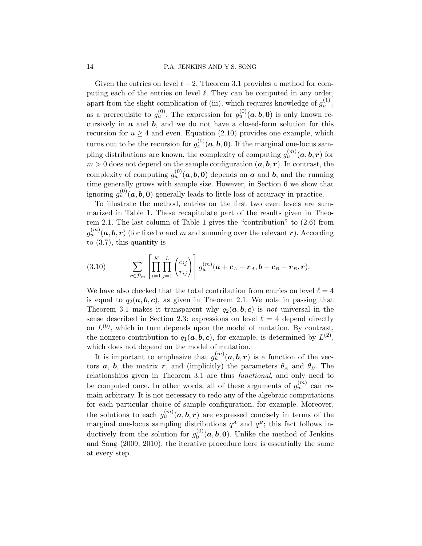Given the entries on level  $\ell - 2$ , Theorem 3.1 provides a method for computing each of the entries on level  $\ell$ . They can be computed in any order, apart from the slight complication of (iii), which requires knowledge of  $g_{u-}^{(1)}$  $u-1$ as a prerequisite to  $g_u^{(0)}$ . The expression for  $g_u^{(0)}(a, b, 0)$  is only known recursively in  $\boldsymbol{a}$  and  $\boldsymbol{b}$ , and we do not have a closed-form solution for this recursion for  $u \geq 4$  and even. Equation (2.10) provides one example, which turns out to be the recursion for  $g_4^{(0)}$  $\mathcal{L}_4^{(0)}(\boldsymbol{a},\boldsymbol{b},\boldsymbol{0}).$  If the marginal one-locus sampling distributions are known, the complexity of computing  $g_u^{(m)}(\boldsymbol{a},\boldsymbol{b},\boldsymbol{r})$  for  $m > 0$  does not depend on the sample configuration  $(a, b, r)$ . In contrast, the complexity of computing  $g_u^{(0)}(a, b, 0)$  depends on  $a$  and  $b$ , and the running time generally grows with sample size. However, in Section 6 we show that ignoring  $g_u^{(0)}(a, b, 0)$  generally leads to little loss of accuracy in practice.

To illustrate the method, entries on the first two even levels are summarized in Table 1. These recapitulate part of the results given in Theorem 2.1. The last column of Table 1 gives the "contribution" to (2.6) from  $g_u^{(m)}(\bm{a},\bm{b},\bm{r})$  (for fixed  $u$  and  $m$  and summing over the relevant  $\bm{r}$ ). According to (3.7), this quantity is

(3.10) 
$$
\sum_{\boldsymbol{r}\in\mathcal{P}_m}\left[\prod_{i=1}^K\prod_{j=1}^L\binom{c_{ij}}{r_{ij}}\right]g_u^{(m)}(\boldsymbol{a}+\boldsymbol{c}_A-\boldsymbol{r}_A,\boldsymbol{b}+\boldsymbol{c}_B-\boldsymbol{r}_B,\boldsymbol{r}).
$$

We have also checked that the total contribution from entries on level  $\ell = 4$ is equal to  $q_2(a, b, c)$ , as given in Theorem 2.1. We note in passing that Theorem 3.1 makes it transparent why  $q_2(a, b, c)$  is not universal in the sense described in Section 2.3: expressions on level  $\ell = 4$  depend directly on  $L^{(0)}$ , which in turn depends upon the model of mutation. By contrast, the nonzero contribution to  $q_1(a, b, c)$ , for example, is determined by  $L^{(2)}$ , which does not depend on the model of mutation.

It is important to emphasize that  $g_u^{(m)}(a, b, r)$  is a function of the vectors  $a, b$ , the matrix r, and (implicitly) the parameters  $\theta_A$  and  $\theta_B$ . The relationships given in Theorem 3.1 are thus functional, and only need to be computed once. In other words, all of these arguments of  $g_u^{(m)}$  can remain arbitrary. It is not necessary to redo any of the algebraic computations for each particular choice of sample configuration, for example. Moreover, the solutions to each  $g_u^{(m)}(a, b, r)$  are expressed concisely in terms of the marginal one-locus sampling distributions  $q^A$  and  $q^B$ ; this fact follows inductively from the solution for  $g_0^{(0)}$  $\binom{0}{0}$  (*a*, *b*, 0). Unlike the method of Jenkins and Song (2009, 2010), the iterative procedure here is essentially the same at every step.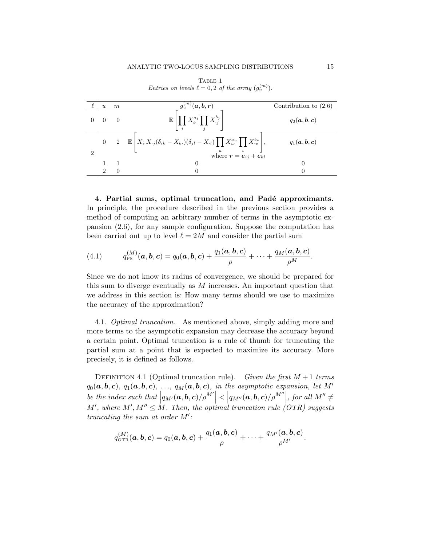|                | $\mathfrak{u}$ | m | $g_u^{(m)}(\boldsymbol{a},\boldsymbol{b},\boldsymbol{r})$                                                                                              | Contribution to $(2.6)$ |
|----------------|----------------|---|--------------------------------------------------------------------------------------------------------------------------------------------------------|-------------------------|
|                |                |   | $\mathbb{E} \left[ \prod X_i^{a_i} \prod X_{.j}^{b_j} \right]$                                                                                         | $q_0(a,b,c)$            |
|                |                |   | $2 \mathbb{E} \left[ X_i.X_{\cdot j}(\delta_{ik} - X_{k\cdot})(\delta_{jl} - X_{\cdot l}) \prod X_{u\cdot}^{a_{u}} \prod X_{\cdot v}^{b_{v}} \right],$ | $q_1(a, b, c)$          |
| $\overline{2}$ |                |   | $\overline{\mathbf{v}}$<br>where $\mathbf{r} = \mathbf{e}_{ij} + \mathbf{e}_{kl}$                                                                      |                         |
|                |                |   | $\theta$                                                                                                                                               |                         |
|                | $\Omega$       |   |                                                                                                                                                        | 0                       |

TABLE 1 Entries on levels  $\ell = 0, 2$  of the array  $(g_u^{(m)})$ .

4. Partial sums, optimal truncation, and Padé approximants. In principle, the procedure described in the previous section provides a method of computing an arbitrary number of terms in the asymptotic expansion (2.6), for any sample configuration. Suppose the computation has been carried out up to level  $\ell = 2M$  and consider the partial sum

(4.1) 
$$
q_{\textrm{PS}}^{(M)}(\boldsymbol{a},\boldsymbol{b},\boldsymbol{c})=q_0(\boldsymbol{a},\boldsymbol{b},\boldsymbol{c})+\frac{q_1(\boldsymbol{a},\boldsymbol{b},\boldsymbol{c})}{\rho}+\cdots+\frac{q_M(\boldsymbol{a},\boldsymbol{b},\boldsymbol{c})}{\rho^M}.
$$

Since we do not know its radius of convergence, we should be prepared for this sum to diverge eventually as  $M$  increases. An important question that we address in this section is: How many terms should we use to maximize the accuracy of the approximation?

4.1. Optimal truncation. As mentioned above, simply adding more and more terms to the asymptotic expansion may decrease the accuracy beyond a certain point. Optimal truncation is a rule of thumb for truncating the partial sum at a point that is expected to maximize its accuracy. More precisely, it is defined as follows.

DEFINITION 4.1 (Optimal truncation rule). Given the first  $M+1$  terms  $q_0(a, b, c), q_1(a, b, c), \ldots, q_M(a, b, c),$  in the asymptotic expansion, let M' be the index such that  $|q_{M'}(\boldsymbol{a},\boldsymbol{b},\boldsymbol{c})/\rho^{M'}| < |q_{M''}(\boldsymbol{a},\boldsymbol{b},\boldsymbol{c})/\rho^{M''}|$ , for all  $M'' \neq M$ M', where M',  $M'' \leq M$ . Then, the optimal truncation rule (OTR) suggests truncating the sum at order  $M'$ :

$$
q_{\text{OTR}}^{(M)}(\boldsymbol{a},\boldsymbol{b},\boldsymbol{c})=q_0(\boldsymbol{a},\boldsymbol{b},\boldsymbol{c})+\frac{q_1(\boldsymbol{a},\boldsymbol{b},\boldsymbol{c})}{\rho}+\cdots+\frac{q_{M'}(\boldsymbol{a},\boldsymbol{b},\boldsymbol{c})}{\rho^{M'}}.
$$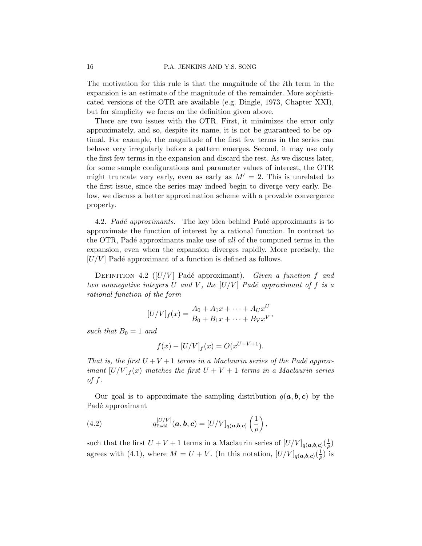The motivation for this rule is that the magnitude of the ith term in the expansion is an estimate of the magnitude of the remainder. More sophisticated versions of the OTR are available (e.g. Dingle, 1973, Chapter XXI), but for simplicity we focus on the definition given above.

There are two issues with the OTR. First, it minimizes the error only approximately, and so, despite its name, it is not be guaranteed to be optimal. For example, the magnitude of the first few terms in the series can behave very irregularly before a pattern emerges. Second, it may use only the first few terms in the expansion and discard the rest. As we discuss later, for some sample configurations and parameter values of interest, the OTR might truncate very early, even as early as  $M' = 2$ . This is unrelated to the first issue, since the series may indeed begin to diverge very early. Below, we discuss a better approximation scheme with a provable convergence property.

4.2. Padé approximants. The key idea behind Padé approximants is to approximate the function of interest by a rational function. In contrast to the OTR, Padé approximants make use of all of the computed terms in the expansion, even when the expansion diverges rapidly. More precisely, the  $[U/V]$  Padé approximant of a function is defined as follows.

DEFINITION 4.2 ( $|U/V|$  Padé approximant). Given a function f and two nonnegative integers U and V, the  $[U/V]$  Padé approximant of f is a rational function of the form

$$
[U/V]_f(x) = \frac{A_0 + A_1x + \dots + A_Ux^U}{B_0 + B_1x + \dots + B_Vx^V},
$$

such that  $B_0 = 1$  and

$$
f(x) - [U/V]_f(x) = O(x^{U+V+1}).
$$

That is, the first  $U + V + 1$  terms in a Maclaurin series of the Padé approximant  $[U/V]_f(x)$  matches the first  $U + V + 1$  terms in a Maclaurin series of f.

Our goal is to approximate the sampling distribution  $q(a, b, c)$  by the Padé approximant

(4.2) 
$$
q_{\text{Padé}}^{[U/V]}(\boldsymbol{a}, \boldsymbol{b}, \boldsymbol{c}) = [U/V]_{q(\boldsymbol{a}, \boldsymbol{b}, \boldsymbol{c})} \left(\frac{1}{\rho}\right),
$$

such that the first  $U + V + 1$  terms in a Maclaurin series of  $[U/V]_{q(\boldsymbol{a},\boldsymbol{b},\boldsymbol{c})}\left(\frac{1}{\rho}\right)$  $\frac{1}{\rho}$ agrees with (4.1), where  $M = U + V$ . (In this notation,  $[U/V]_{q(\boldsymbol{a},\boldsymbol{b},\boldsymbol{c})}\left(\frac{1}{\rho}\right)$  $\frac{1}{\rho}$ ) is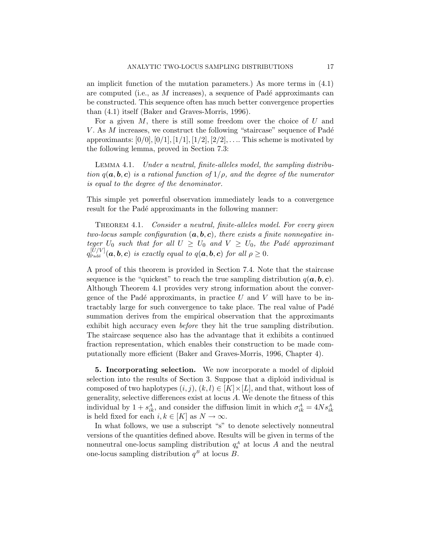an implicit function of the mutation parameters.) As more terms in (4.1) are computed (i.e., as  $M$  increases), a sequence of Padé approximants can be constructed. This sequence often has much better convergence properties than (4.1) itself (Baker and Graves-Morris, 1996).

For a given  $M$ , there is still some freedom over the choice of  $U$  and V. As  $M$  increases, we construct the following "staircase" sequence of Padé approximants:  $[0/0]$ ,  $[0/1]$ ,  $[1/1]$ ,  $[1/2]$ ,  $[2/2]$ , ... This scheme is motivated by the following lemma, proved in Section 7.3:

Lemma 4.1. Under a neutral, finite-alleles model, the sampling distribution  $q(\mathbf{a}, \mathbf{b}, \mathbf{c})$  is a rational function of  $1/\rho$ , and the degree of the numerator is equal to the degree of the denominator.

This simple yet powerful observation immediately leads to a convergence result for the Padé approximants in the following manner:

THEOREM 4.1. Consider a neutral, finite-alleles model. For every given two-locus sample configuration  $(a, b, c)$ , there exists a finite nonnegative integer  $U_0$  such that for all  $U \geq U_0$  and  $V \geq U_0$ , the Padé approximant  $q_{\textrm{Pad}}^{[U/V]}(\bm{a},\bm{b},\bm{c})$  is exactly equal to  $q(\bm{a},\bm{b},\bm{c})$  for all  $\rho \geq 0$ .

A proof of this theorem is provided in Section 7.4. Note that the staircase sequence is the "quickest" to reach the true sampling distribution  $q(a, b, c)$ . Although Theorem 4.1 provides very strong information about the convergence of the Padé approximants, in practice U and V will have to be intractably large for such convergence to take place. The real value of Padé summation derives from the empirical observation that the approximants exhibit high accuracy even before they hit the true sampling distribution. The staircase sequence also has the advantage that it exhibits a continued fraction representation, which enables their construction to be made computationally more efficient (Baker and Graves-Morris, 1996, Chapter 4).

5. Incorporating selection. We now incorporate a model of diploid selection into the results of Section 3. Suppose that a diploid individual is composed of two haplotypes  $(i, j)$ ,  $(k, l) \in [K] \times [L]$ , and that, without loss of generality, selective differences exist at locus A. We denote the fitness of this individual by  $1 + s_{ik}^A$ , and consider the diffusion limit in which  $\sigma_{ik}^A = 4Ns_{ik}^A$ is held fixed for each  $i, k \in [K]$  as  $N \to \infty$ .

In what follows, we use a subscript "s" to denote selectively nonneutral versions of the quantities defined above. Results will be given in terms of the nonneutral one-locus sampling distribution  $q_s^A$  at locus A and the neutral one-locus sampling distribution  $q<sup>B</sup>$  at locus B.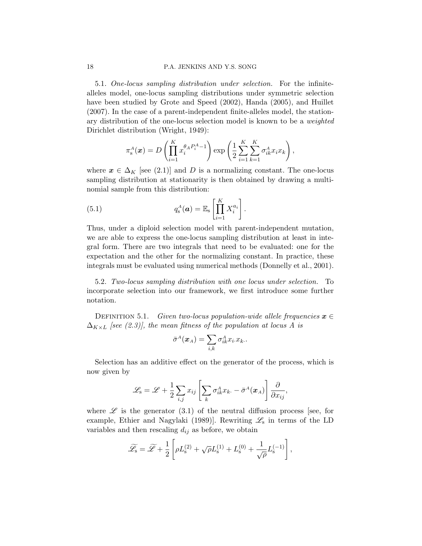5.1. One-locus sampling distribution under selection. For the infinitealleles model, one-locus sampling distributions under symmetric selection have been studied by Grote and Speed (2002), Handa (2005), and Huillet (2007). In the case of a parent-independent finite-alleles model, the stationary distribution of the one-locus selection model is known to be a weighted Dirichlet distribution (Wright, 1949):

$$
\pi_s^A(\boldsymbol{x}) = D\left(\prod_{i=1}^K x_i^{\theta_A P_i^A - 1}\right) \exp\left(\frac{1}{2} \sum_{i=1}^K \sum_{k=1}^K \sigma_{ik}^A x_i x_k\right),
$$

where  $x \in \Delta_K$  [see (2.1)] and D is a normalizing constant. The one-locus sampling distribution at stationarity is then obtained by drawing a multinomial sample from this distribution:

(5.1) 
$$
q_s^A(\boldsymbol{a}) = \mathbb{E}_s \left[ \prod_{i=1}^K X_i^{a_i} \right].
$$

Thus, under a diploid selection model with parent-independent mutation, we are able to express the one-locus sampling distribution at least in integral form. There are two integrals that need to be evaluated: one for the expectation and the other for the normalizing constant. In practice, these integrals must be evaluated using numerical methods (Donnelly et al., 2001).

5.2. Two-locus sampling distribution with one locus under selection. To incorporate selection into our framework, we first introduce some further notation.

DEFINITION 5.1. Given two-locus population-wide allele frequencies  $x \in$  $\Delta_{K\times L}$  [see (2.3)], the mean fitness of the population at locus A is

$$
\bar{\sigma}^A(\boldsymbol{x}_A) = \sum_{i,k} \sigma^A_{ik} x_i.x_k..
$$

Selection has an additive effect on the generator of the process, which is now given by

$$
\mathscr{L}_{\mathrm{s}} = \mathscr{L} + \frac{1}{2} \sum_{i,j} x_{ij} \left[ \sum_{k} \sigma_{ik}^{A} x_{k\cdot} - \bar{\sigma}^{A}(\boldsymbol{x}_{A}) \right] \frac{\partial}{\partial x_{ij}},
$$

where  $\mathscr L$  is the generator (3.1) of the neutral diffusion process [see, for example, Ethier and Nagylaki (1989). Rewriting  $\mathscr{L}_{s}$  in terms of the LD variables and then rescaling  $d_{ij}$  as before, we obtain

$$
\widetilde{\mathscr{L}}_s = \widetilde{\mathscr{L}} + \frac{1}{2} \left[ \rho L_s^{(2)} + \sqrt{\rho} L_s^{(1)} + L_s^{(0)} + \frac{1}{\sqrt{\rho}} L_s^{(-1)} \right],
$$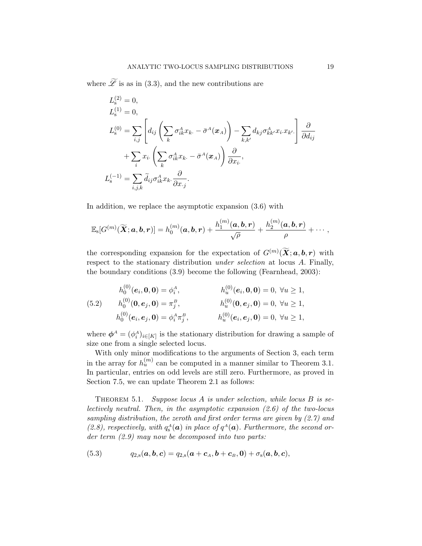where  $\widetilde{\mathscr{L}}$  is as in (3.3), and the new contributions are

$$
L_{\rm s}^{(2)} = 0,
$$
  
\n
$$
L_{\rm s}^{(1)} = 0,
$$
  
\n
$$
L_{\rm s}^{(0)} = \sum_{i,j} \left[ d_{ij} \left( \sum_{k} \sigma_{ik}^{A} x_{k.} - \bar{\sigma}^{A} (\boldsymbol{x}_{A}) \right) - \sum_{k,k'} d_{kj} \sigma_{kk'}^{A} x_{i.} x_{k'} \right] \frac{\partial}{\partial d_{ij}}
$$
  
\n
$$
+ \sum_{i} x_{i.} \left( \sum_{k} \sigma_{ik}^{A} x_{k.} - \bar{\sigma}^{A} (\boldsymbol{x}_{A}) \right) \frac{\partial}{\partial x_{i.}},
$$
  
\n
$$
L_{\rm s}^{(-1)} = \sum_{i,j,k} \tilde{d}_{ij} \sigma_{ik}^{A} x_{k.} \frac{\partial}{\partial x_{.j}}.
$$

In addition, we replace the asymptotic expansion (3.6) with

$$
\mathbb{E}_\mathbf{s}[G^{(m)}(\widetilde{\boldsymbol{X}};\boldsymbol{a},\boldsymbol{b},\boldsymbol{r})] = h_0^{(m)}(\boldsymbol{a},\boldsymbol{b},\boldsymbol{r}) + \frac{h_1^{(m)}(\boldsymbol{a},\boldsymbol{b},\boldsymbol{r})}{\sqrt{\rho}} + \frac{h_2^{(m)}(\boldsymbol{a},\boldsymbol{b},\boldsymbol{r})}{\rho} + \cdots,
$$

the corresponding expansion for the expectation of  $G^{(m)}(\widetilde{\mathbf{X}}; \boldsymbol{a}, \boldsymbol{b}, \boldsymbol{r})$  with respect to the stationary distribution under selection at locus A. Finally, the boundary conditions (3.9) become the following (Fearnhead, 2003):

(5.2) 
$$
h_0^{(0)}(e_i, 0, 0) = \phi_i^A, \qquad h_u^{(0)}(e_i, 0, 0) = 0, \forall u \ge 1,
$$
  
\n
$$
h_0^{(0)}(0, e_j, 0) = \pi_j^B, \qquad h_u^{(0)}(0, e_j, 0) = 0, \forall u \ge 1,
$$
  
\n
$$
h_0^{(0)}(e_i, e_j, 0) = \phi_i^A \pi_j^B, \qquad h_u^{(0)}(e_i, e_j, 0) = 0, \forall u \ge 1,
$$

where  $\phi^A = (\phi_i^A)_{i \in [K]}$  is the stationary distribution for drawing a sample of size one from a single selected locus.

With only minor modifications to the arguments of Section 3, each term in the array for  $h_u^{(m)}$  can be computed in a manner similar to Theorem 3.1. In particular, entries on odd levels are still zero. Furthermore, as proved in Section 7.5, we can update Theorem 2.1 as follows:

THEOREM 5.1. Suppose locus  $A$  is under selection, while locus  $B$  is selectively neutral. Then, in the asymptotic expansion (2.6) of the two-locus sampling distribution, the zeroth and first order terms are given by (2.7) and (2.8), respectively, with  $q_s^A(\boldsymbol{a})$  in place of  $q^A(\boldsymbol{a})$ . Furthermore, the second order term (2.9) may now be decomposed into two parts:

(5.3) 
$$
q_{2,s}(a,b,c)=q_{2,s}(a+c_A,b+c_B,0)+\sigma_s(a,b,c),
$$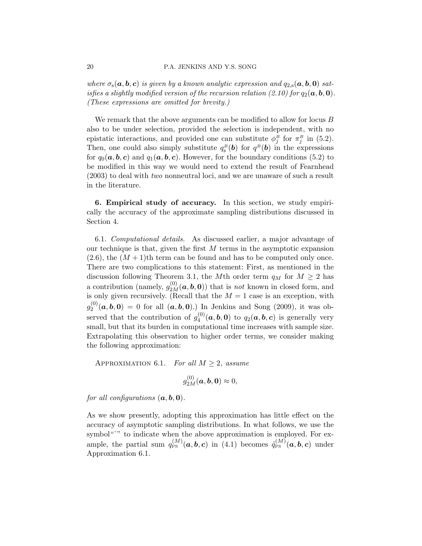where  $\sigma_s(\mathbf{a}, \mathbf{b}, \mathbf{c})$  is given by a known analytic expression and  $q_{2,s}(\mathbf{a}, \mathbf{b}, \mathbf{0})$  satisfies a slightly modified version of the recursion relation (2.10) for  $q_2(a, b, 0)$ . (These expressions are omitted for brevity.)

We remark that the above arguments can be modified to allow for locus B also to be under selection, provided the selection is independent, with no epistatic interactions, and provided one can substitute  $\phi_j^B$  for  $\pi_j^B$  in (5.2). Then, one could also simply substitute  $q_s^B(\boldsymbol{b})$  for  $q^B(\boldsymbol{b})$  in the expressions for  $q_0(a, b, c)$  and  $q_1(a, b, c)$ . However, for the boundary conditions (5.2) to be modified in this way we would need to extend the result of Fearnhead (2003) to deal with two nonneutral loci, and we are unaware of such a result in the literature.

6. Empirical study of accuracy. In this section, we study empirically the accuracy of the approximate sampling distributions discussed in Section 4.

6.1. Computational details. As discussed earlier, a major advantage of our technique is that, given the first  $M$  terms in the asymptotic expansion  $(2.6)$ , the  $(M + 1)$ th term can be found and has to be computed only once. There are two complications to this statement: First, as mentioned in the discussion following Theorem 3.1, the Mth order term  $q_M$  for  $M \geq 2$  has a contribution (namely,  $g_{2M}^{(0)}(\boldsymbol{a},\boldsymbol{b},\boldsymbol{0})$ ) that is *not* known in closed form, and is only given recursively. (Recall that the  $M = 1$  case is an exception, with  $g_{2}^{\left( 0\right) }$  $\mathcal{L}_2^{(0)}(\boldsymbol{a},\boldsymbol{b},\boldsymbol{0}) = 0$  for all  $(\boldsymbol{a},\boldsymbol{b},\boldsymbol{0})$ . In Jenkins and Song (2009), it was observed that the contribution of  $g_4^{(0)}$  $q_4^{(0)}(\boldsymbol{a},\boldsymbol{b},\boldsymbol{0})$  to  $q_2(\boldsymbol{a},\boldsymbol{b},\boldsymbol{c})$  is generally very small, but that its burden in computational time increases with sample size. Extrapolating this observation to higher order terms, we consider making the following approximation:

APPROXIMATION 6.1. For all  $M \geq 2$ , assume

$$
g_{2M}^{(0)}(\boldsymbol{a},\boldsymbol{b},\boldsymbol{0})\approx 0,
$$

for all configurations  $(a, b, 0)$ .

As we show presently, adopting this approximation has little effect on the accuracy of asymptotic sampling distributions. In what follows, we use the symbol<sup>"</sup>" to indicate when the above approximation is employed. For example, the partial sum  $q_{\rm PS}^{(M)}(\boldsymbol{a},\boldsymbol{b},\boldsymbol{c})$  in (4.1) becomes  $\mathring{q}_{\rm PS}^{(M)}(\boldsymbol{a},\boldsymbol{b},\boldsymbol{c})$  under Approximation 6.1.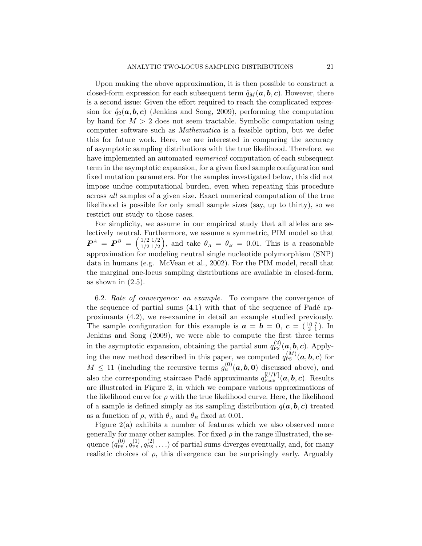Upon making the above approximation, it is then possible to construct a closed-form expression for each subsequent term  $\mathring{q}_M(a, b, c)$ . However, there is a second issue: Given the effort required to reach the complicated expression for  $\mathring{q}_2(a, b, c)$  (Jenkins and Song, 2009), performing the computation by hand for  $M > 2$  does not seem tractable. Symbolic computation using computer software such as Mathematica is a feasible option, but we defer this for future work. Here, we are interested in comparing the accuracy of asymptotic sampling distributions with the true likelihood. Therefore, we have implemented an automated *numerical* computation of each subsequent term in the asymptotic expansion, for a given fixed sample configuration and fixed mutation parameters. For the samples investigated below, this did not impose undue computational burden, even when repeating this procedure across all samples of a given size. Exact numerical computation of the true likelihood is possible for only small sample sizes (say, up to thirty), so we restrict our study to those cases.

For simplicity, we assume in our empirical study that all alleles are selectively neutral. Furthermore, we assume a symmetric, PIM model so that  $\bm{P}^{\scriptscriptstyle A} \,=\, \bm{P}^{\scriptscriptstyle B} \,=\, \left(\frac{1/2}{1/2}\frac{1/2}{1/2}\right)$  $\binom{1/2}{1/2}\binom{1/2}{1/2}$ , and take  $\theta_A = \theta_B = 0.01$ . This is a reasonable approximation for modeling neutral single nucleotide polymorphism (SNP) data in humans (e.g. McVean et al., 2002). For the PIM model, recall that the marginal one-locus sampling distributions are available in closed-form, as shown in  $(2.5)$ .

6.2. Rate of convergence: an example. To compare the convergence of the sequence of partial sums  $(4.1)$  with that of the sequence of Padé approximants (4.2), we re-examine in detail an example studied previously. The sample configuration for this example is  $\boldsymbol{a} = \boldsymbol{b} = \boldsymbol{0}$ ,  $\boldsymbol{c} = \begin{pmatrix} 10 & 7 \\ 2 & 1 \end{pmatrix}$ . In Jenkins and Song (2009), we were able to compute the first three terms in the asymptotic expansion, obtaining the partial sum  $q_{\rm PS}^{(2)}(\boldsymbol{a},\boldsymbol{b},\boldsymbol{c})$ . Applying the new method described in this paper, we computed  $q_{\text{PS}}^{(M)}(\boldsymbol{a},\boldsymbol{b},\boldsymbol{c})$  for  $M \leq 11$  (including the recursive terms  $g_u^{(0)}(a, b, 0)$  discussed above), and also the corresponding staircase Padé approximants  $q_{\text{Padé}}^{[U/V]}(\boldsymbol{a}, \boldsymbol{b}, \boldsymbol{c})$ . Results are illustrated in Figure 2, in which we compare various approximations of the likelihood curve for  $\rho$  with the true likelihood curve. Here, the likelihood of a sample is defined simply as its sampling distribution  $q(a, b, c)$  treated as a function of  $\rho$ , with  $\theta_A$  and  $\theta_B$  fixed at 0.01.

Figure 2(a) exhibits a number of features which we also observed more generally for many other samples. For fixed  $\rho$  in the range illustrated, the sequence  $(q_{PS}^{(0)}, q_{PS}^{(1)}, q_{PS}^{(2)}, \ldots)$  of partial sums diverges eventually, and, for many realistic choices of  $\rho$ , this divergence can be surprisingly early. Arguably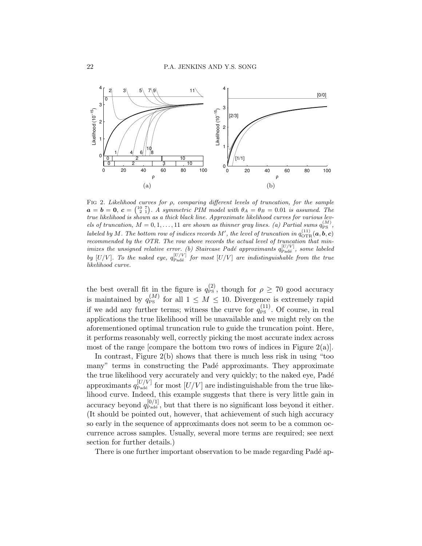

FIG 2. Likelihood curves for  $\rho$ , comparing different levels of truncation, for the sample  $a = b = 0, c = \begin{pmatrix} 10 & 7 \\ 2 & 1 \end{pmatrix}$ . A symmetric PIM model with  $\theta_A = \theta_B = 0.01$  is assumed. The true likelihood is shown as a thick black line. Approximate likelihood curves for various levels of truncation,  $M = 0, 1, ..., 11$  are shown as thinner gray lines. (a) Partial sums  $q_{\text{PS}}^{(M)}$ , labeled by M. The bottom row of indices records M', the level of truncation in  $q_{\text{OTR}}^{(11)}(\bm{a},\bm{b},\bm{c})$ recommended by the OTR. The row above records the actual level of truncation that minimizes the unsigned relative error. (b) Staircase Padé approximants  $q_{\text{Padé}}^{[U/V]}$ , some labeled by [U/V]. To the naked eye,  $q_{\text{Padé}}^{[U/V]}$  for most [U/V] are indistinguishable from the true likelihood curve.

the best overall fit in the figure is  $q_{\text{PS}}^{(2)}$ , though for  $\rho \geq 70$  good accuracy is maintained by  $q_{\text{PS}}^{(M)}$  for all  $1 \leq M \leq 10$ . Divergence is extremely rapid if we add any further terms; witness the curve for  $q_{\rm PS}^{(11)}$ . Of course, in real applications the true likelihood will be unavailable and we might rely on the aforementioned optimal truncation rule to guide the truncation point. Here, it performs reasonably well, correctly picking the most accurate index across most of the range [compare the bottom two rows of indices in Figure 2(a)].

In contrast, Figure 2(b) shows that there is much less risk in using "too many" terms in constructing the Padé approximants. They approximate the true likelihood very accurately and very quickly; to the naked eye, Padé approximants  $q_{\text{Padé}}^{[U/V]}$  for most  $[U/V]$  are indistinguishable from the true likelihood curve. Indeed, this example suggests that there is very little gain in accuracy beyond  $q_{\text{Padé}}^{[0/1]}$ , but that there is no significant loss beyond it either. (It should be pointed out, however, that achievement of such high accuracy so early in the sequence of approximants does not seem to be a common occurrence across samples. Usually, several more terms are required; see next section for further details.)

There is one further important observation to be made regarding Padé ap-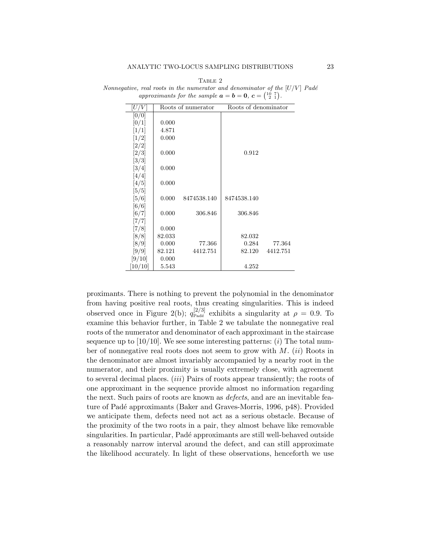| U/V                            |        | Roots of numerator | Roots of denominator |          |
|--------------------------------|--------|--------------------|----------------------|----------|
| [0/0]                          |        |                    |                      |          |
| [0/1]                          | 0.000  |                    |                      |          |
| $\left\lceil 1/1 \right\rceil$ | 4.871  |                    |                      |          |
| [1/2]                          | 0.000  |                    |                      |          |
| [2/2]                          |        |                    |                      |          |
| $\left[2/3\right]$             | 0.000  |                    | 0.912                |          |
| $\left\lceil 3/3 \right\rceil$ |        |                    |                      |          |
| $\left\lceil 3/4\right\rceil$  | 0.000  |                    |                      |          |
| $\left[4/4\right]$             |        |                    |                      |          |
| [4/5]                          | 0.000  |                    |                      |          |
| $\left[5/5\right]$             |        |                    |                      |          |
| [5/6]                          | 0.000  | 8474538.140        | 8474538.140          |          |
| $\left[6/6\right]$             |        |                    |                      |          |
| $\left[6/7\right]$             | 0.000  | 306.846            | 306.846              |          |
| [7/7]                          |        |                    |                      |          |
| [7/8]                          | 0.000  |                    |                      |          |
| $\left[8/8\right]$             | 82.033 |                    | 82.032               |          |
| $\left[8/9\right]$             | 0.000  | 77.366             | 0.284                | 77.364   |
| $\left[9/9\right]$             | 82.121 | 4412.751           | 82.120               | 4412.751 |
| [9/10]                         | 0.000  |                    |                      |          |
| [10/10]                        | 5.543  |                    | 4.252                |          |

TABLE 2 Nonnegative, real roots in the numerator and denominator of the  $[U/V]$  Padé approximants for the sample  $\mathbf{a} = \mathbf{b} = \mathbf{0}, \ \mathbf{c} = \begin{pmatrix} 10 & 7 \\ 2 & 1 \end{pmatrix}$ .

proximants. There is nothing to prevent the polynomial in the denominator from having positive real roots, thus creating singularities. This is indeed observed once in Figure 2(b);  $q_{\text{Padé}}^{[2/3]}$  exhibits a singularity at  $\rho = 0.9$ . To examine this behavior further, in Table 2 we tabulate the nonnegative real roots of the numerator and denominator of each approximant in the staircase sequence up to  $[10/10]$ . We see some interesting patterns:  $(i)$  The total number of nonnegative real roots does not seem to grow with  $M$ . (ii) Roots in the denominator are almost invariably accompanied by a nearby root in the numerator, and their proximity is usually extremely close, with agreement to several decimal places. *(iii)* Pairs of roots appear transiently; the roots of one approximant in the sequence provide almost no information regarding the next. Such pairs of roots are known as *defects*, and are an inevitable feature of Padé approximants (Baker and Graves-Morris, 1996, p48). Provided we anticipate them, defects need not act as a serious obstacle. Because of the proximity of the two roots in a pair, they almost behave like removable singularities. In particular, Padé approximants are still well-behaved outside a reasonably narrow interval around the defect, and can still approximate the likelihood accurately. In light of these observations, henceforth we use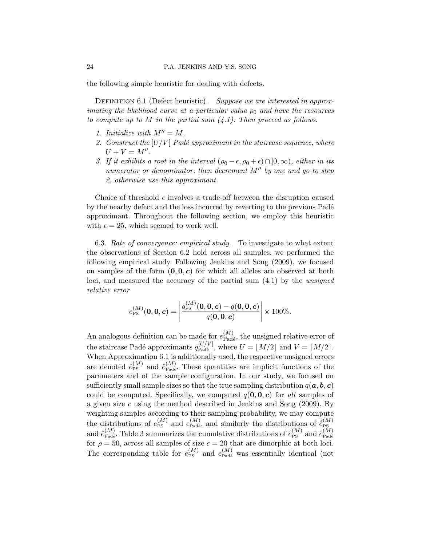the following simple heuristic for dealing with defects.

DEFINITION 6.1 (Defect heuristic). Suppose we are interested in approximating the likelihood curve at a particular value  $\rho_0$  and have the resources to compute up to M in the partial sum  $(4.1)$ . Then proceed as follows.

- 1. Initialize with  $M'' = M$ .
- 2. Construct the  $[U/V]$  Padé approximant in the staircase sequence, where  $U + V = M''$ .
- 3. If it exhibits a root in the interval  $(\rho_0 \epsilon, \rho_0 + \epsilon) \cap [0, \infty)$ , either in its numerator or denominator, then decrement  $M''$  by one and go to step 2, otherwise use this approximant.

Choice of threshold  $\epsilon$  involves a trade-off between the disruption caused by the nearby defect and the loss incurred by reverting to the previous Padé approximant. Throughout the following section, we employ this heuristic with  $\epsilon = 25$ , which seemed to work well.

6.3. Rate of convergence: empirical study. To investigate to what extent the observations of Section 6.2 hold across all samples, we performed the following empirical study. Following Jenkins and Song (2009), we focused on samples of the form  $(0, 0, c)$  for which all alleles are observed at both loci, and measured the accuracy of the partial sum (4.1) by the unsigned relative error

$$
e_{\rm PS}^{(M)}(\mathbf{0},\mathbf{0},\mathbf{c}) = \left| \frac{q_{\rm PS}^{(M)}(\mathbf{0},\mathbf{0},\mathbf{c}) - q(\mathbf{0},\mathbf{0},\mathbf{c})}{q(\mathbf{0},\mathbf{0},\mathbf{c})} \right| \times 100\%.
$$

An analogous definition can be made for  $e_{\text{Pad}\acute{e}}^{(M)}$ , the unsigned relative error of the staircase Padé approximants  $q_{\text{Padé}}^{[U/V]}$ , where  $U = [M/2]$  and  $V = [M/2]$ . When Approximation 6.1 is additionally used, the respective unsigned errors are denoted  $\mathring{e}_{\text{Ps}}^{(M)}$  and  $\mathring{e}_{\text{Padé}}^{(M)}$ . These quantities are implicit functions of the parameters and of the sample configuration. In our study, we focused on sufficiently small sample sizes so that the true sampling distribution  $q(a, b, c)$ could be computed. Specifically, we computed  $q(0, 0, c)$  for all samples of a given size c using the method described in Jenkins and Song  $(2009)$ . By weighting samples according to their sampling probability, we may compute the distributions of  $e_{\text{PS}}^{(M)}$  and  $e_{\text{Pad}}^{(M)}$ , and similarly the distributions of  $\mathring{e}_{\text{PS}}^{(M)}$ and  $\mathring{e}_{\text{Pad}}^{(M)}$ . Table 3 summarizes the cumulative distributions of  $\mathring{e}_{\text{PS}}^{(M)}$  and  $\mathring{e}_{\text{Pad}^{\&}}^{(M)}$ for  $\rho = 50$ , across all samples of size  $c = 20$  that are dimorphic at both loci. The corresponding table for  $e_{\text{PS}}^{(M)}$  and  $e_{\text{Padé}}^{(M)}$  was essentially identical (not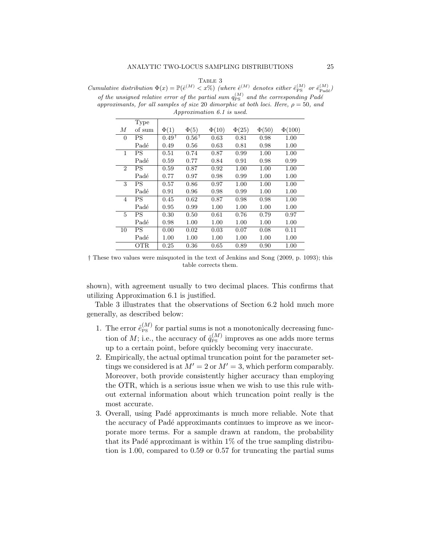## TABLE 3

Cumulative distribution  $\Phi(x) = \mathbb{P}(\hat{e}^{(M)} < x\%)$  (where  $\hat{e}^{(M)}$  denotes either  $\hat{e}_{\text{PS}}^{(M)}$  or  $\hat{e}_{\text{Pad}\hat{e}}^{(M)}$ ) of the unsigned relative error of the partial sum  $q_{\text{PS}}^{(M)}$  and the corresponding Padé approximants, for all samples of size 20 dimorphic at both loci. Here,  $\rho = 50$ , and Approximation 6.1 is used.

|          | Type       |                  |                  |            |            |            |             |
|----------|------------|------------------|------------------|------------|------------|------------|-------------|
| М        | of sum     | $\Phi(1)$        | $\Phi(5)$        | $\Phi(10)$ | $\Phi(25)$ | $\Phi(50)$ | $\Phi(100)$ |
| $\theta$ | <b>PS</b>  | $0.49^{\bar{T}}$ | $0.56^{\dagger}$ | 0.63       | 0.81       | 0.98       | 1.00        |
|          | Padé       | 0.49             | 0.56             | 0.63       | 0.81       | 0.98       | 1.00        |
| 1        | <b>PS</b>  | 0.51             | 0.74             | 0.87       | 0.99       | 1.00       | 1.00        |
|          | Padé       | 0.59             | 0.77             | 0.84       | 0.91       | 0.98       | 0.99        |
| 2        | PS         | 0.59             | 0.87             | 0.92       | 1.00       | 1.00       | 1.00        |
|          | Padé       | 0.77             | 0.97             | 0.98       | 0.99       | 1.00       | 1.00        |
| 3        | PS         | 0.57             | 0.86             | 0.97       | 1.00       | 1.00       | 1.00        |
|          | Padé       | 0.91             | 0.96             | 0.98       | 0.99       | 1.00       | 1.00        |
| 4        | ΡS         | 0.45             | 0.62             | 0.87       | 0.98       | 0.98       | 1.00        |
|          | Padé       | 0.95             | 0.99             | 1.00       | 1.00       | 1.00       | 1.00        |
| 5        | <b>PS</b>  | 0.30             | 0.50             | 0.61       | 0.76       | 0.79       | 0.97        |
|          | Padé       | 0.98             | 1.00             | 1.00       | 1.00       | 1.00       | 1.00        |
| 10       | PS         | 0.00             | 0.02             | 0.03       | 0.07       | 0.08       | 0.11        |
|          | Padé       | 1.00             | 1.00             | 1.00       | 1.00       | 1.00       | 1.00        |
|          | <b>OTR</b> | 0.25             | 0.36             | 0.65       | 0.89       | 0.90       | 1.00        |

† These two values were misquoted in the text of Jenkins and Song (2009, p. 1093); this table corrects them.

shown), with agreement usually to two decimal places. This confirms that utilizing Approximation 6.1 is justified.

Table 3 illustrates that the observations of Section 6.2 hold much more generally, as described below:

- 1. The error  $\hat{e}_{PS}^{(M)}$  for partial sums is not a monotonically decreasing function of *M*; i.e., the accuracy of  $\mathring{q}_{\text{PS}}^{(M)}$  improves as one adds more terms up to a certain point, before quickly becoming very inaccurate.
- 2. Empirically, the actual optimal truncation point for the parameter settings we considered is at  $M' = 2$  or  $M' = 3$ , which perform comparably. Moreover, both provide consistently higher accuracy than employing the OTR, which is a serious issue when we wish to use this rule without external information about which truncation point really is the most accurate.
- 3. Overall, using Padé approximants is much more reliable. Note that the accuracy of Padé approximants continues to improve as we incorporate more terms. For a sample drawn at random, the probability that its Padé approximant is within  $1\%$  of the true sampling distribution is 1.00, compared to 0.59 or 0.57 for truncating the partial sums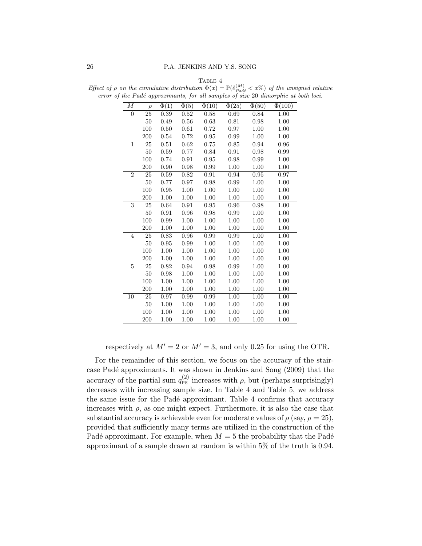| М              | $\rho$ | $\overline{\Phi(1)}$ | $\overline{\Phi(5)}$ | $\overline{\Phi(10)}$ | $\overline{\Phi(25)}$ | $\overline{\Phi(50)}$ | $\overline{\Phi(100)}$ |
|----------------|--------|----------------------|----------------------|-----------------------|-----------------------|-----------------------|------------------------|
| $\overline{0}$ | 25     | 0.39                 | 0.52                 | 0.58                  | 0.69                  | 0.84                  | 1.00                   |
|                | $50\,$ | 0.49                 | 0.56                 | 0.63                  | 0.81                  | 0.98                  | 1.00                   |
|                | 100    | 0.50                 | 0.61                 | 0.72                  | 0.97                  | 1.00                  | 1.00                   |
|                | 200    | 0.54                 | $0.72\,$             | 0.95                  | 0.99                  | $1.00\,$              | 1.00                   |
| $\mathbf{1}$   | 25     | 0.51                 | 0.62                 | 0.75                  | 0.85                  | 0.94                  | 0.96                   |
|                | 50     | 0.59                 | 0.77                 | 0.84                  | 0.91                  | 0.98                  | 0.99                   |
|                | 100    | 0.74                 | 0.91                 | 0.95                  | 0.98                  | 0.99                  | 1.00                   |
|                | 200    | 0.90                 | 0.98                 | 0.99                  | 1.00                  | 1.00                  | 1.00                   |
| $\overline{2}$ | 25     | 0.59                 | 0.82                 | 0.91                  | 0.94                  | 0.95                  | 0.97                   |
|                | 50     | 0.77                 | 0.97                 | 0.98                  | 0.99                  | 1.00                  | 1.00                   |
|                | 100    | 0.95                 | 1.00                 | 1.00                  | 1.00                  | 1.00                  | 1.00                   |
|                | 200    | 1.00                 | 1.00                 | 1.00                  | 1.00                  | 1.00                  | 1.00                   |
| 3              | 25     | 0.64                 | 0.91                 | 0.95                  | 0.96                  | 0.98                  | 1.00                   |
|                | 50     | 0.91                 | 0.96                 | 0.98                  | 0.99                  | 1.00                  | 1.00                   |
|                | 100    | 0.99                 | 1.00                 | 1.00                  | 1.00                  | 1.00                  | 1.00                   |
|                | 200    | 1.00                 | 1.00                 | 1.00                  | 1.00                  | 1.00                  | 1.00                   |
| $\overline{4}$ | 25     | 0.83                 | 0.96                 | 0.99                  | 0.99                  | 1.00                  | 1.00                   |
|                | 50     | 0.95                 | 0.99                 | 1.00                  | 1.00                  | 1.00                  | 1.00                   |
|                | 100    | 1.00                 | 1.00                 | 1.00                  | 1.00                  | 1.00                  | 1.00                   |
|                | 200    | 1.00                 | 1.00                 | 1.00                  | 1.00                  | 1.00                  | 1.00                   |
| $\overline{5}$ | 25     | 0.82                 | 0.94                 | 0.98                  | 0.99                  | 1.00                  | 1.00                   |
|                | 50     | 0.98                 | 1.00                 | 1.00                  | 1.00                  | 1.00                  | 1.00                   |
|                | 100    | 1.00                 | 1.00                 | 1.00                  | 1.00                  | 1.00                  | 1.00                   |
|                | 200    | 1.00                 | 1.00                 | 1.00                  | 1.00                  | 1.00                  | 1.00                   |
| 10             | 25     | 0.97                 | 0.99                 | 0.99                  | 1.00                  | 1.00                  | 1.00                   |
|                | 50     | 1.00                 | 1.00                 | 1.00                  | 1.00                  | 1.00                  | 1.00                   |
|                | 100    | 1.00                 | 1.00                 | 1.00                  | 1.00                  | 1.00                  | 1.00                   |
|                | 200    | 1.00                 | 1.00                 | 1.00                  | 1.00                  | 1.00                  | 1.00                   |

TABLE 4 Effect of  $\rho$  on the cumulative distribution  $\Phi(x) = \mathbb{P}(\hat{e}_{Pad\hat{e}}^{(M)} < x\%)$  of the unsigned relative error of the Padé approximants, for all samples of size 20 dimorphic at both loci.

respectively at  $M' = 2$  or  $M' = 3$ , and only 0.25 for using the OTR.

For the remainder of this section, we focus on the accuracy of the staircase Padé approximants. It was shown in Jenkins and Song (2009) that the accuracy of the partial sum  $q_{\rm PS}^{(2)}$  increases with  $\rho$ , but (perhaps surprisingly) decreases with increasing sample size. In Table 4 and Table 5, we address the same issue for the Padé approximant. Table 4 confirms that accuracy increases with  $\rho$ , as one might expect. Furthermore, it is also the case that substantial accuracy is achievable even for moderate values of  $\rho$  (say,  $\rho = 25$ ), provided that sufficiently many terms are utilized in the construction of the Padé approximant. For example, when  $M = 5$  the probability that the Padé approximant of a sample drawn at random is within 5% of the truth is 0.94.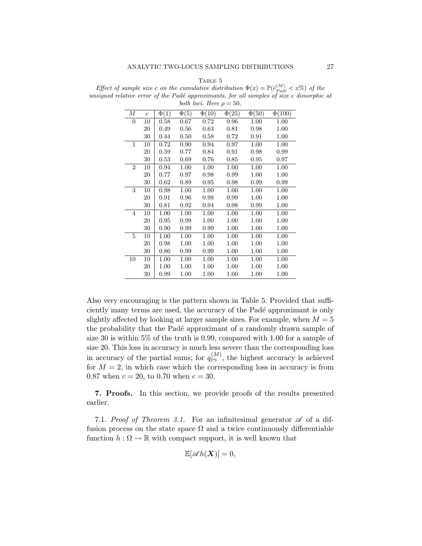|                  |                  |           |                      | both loci. Here $\rho = 50$ . |            |            | d relative error of the Padé approximants, for all samples of size c dimo |
|------------------|------------------|-----------|----------------------|-------------------------------|------------|------------|---------------------------------------------------------------------------|
| $\boldsymbol{M}$ | $\boldsymbol{c}$ | $\Phi(1)$ | $\overline{\Phi(5)}$ | $\Phi(10)$                    | $\Phi(25)$ | $\Phi(50)$ | $\Phi(100)$                                                               |
| $\overline{0}$   | 10               | 0.58      | 0.67                 | 0.72                          | 0.96       | 1.00       | 1.00                                                                      |
|                  | 20               | 0.49      | 0.56                 | 0.63                          | 0.81       | 0.98       | 1.00                                                                      |
|                  | 30               | 0.44      | 0.50                 | 0.58                          | 0.72       | 0.91       | 1.00                                                                      |
| $\mathbf{1}$     | 10               | 0.72      | 0.90                 | 0.94                          | 0.97       | 1.00       | 1.00                                                                      |
|                  | 20               | 0.59      | 0.77                 | 0.84                          | 0.91       | 0.98       | 0.99                                                                      |
|                  | 30               | 0.53      | 0.69                 | 0.76                          | 0.85       | 0.95       | 0.97                                                                      |
| $\overline{2}$   | 10               | 0.94      | 1.00                 | 1.00                          | 1.00       | 1.00       | 1.00                                                                      |
|                  | 20               | 0.77      | 0.97                 | 0.98                          | 0.99       | 1.00       | 1.00                                                                      |
|                  | 30               | 0.62      | 0.89                 | 0.95                          | 0.98       | 0.99       | 0.99                                                                      |
| 3                | 10               | 0.98      | 1.00                 | 1.00                          | 1.00       | 1.00       | 1.00                                                                      |
|                  | 20               | 0.91      | 0.96                 | 0.98                          | 0.99       | 1.00       | 1.00                                                                      |
|                  | 30               | 0.81      | 0.92                 | 0.94                          | 0.98       | 0.99       | 1.00                                                                      |
| $\overline{4}$   | 10               | 1.00      | 1.00                 | 1.00                          | 1.00       | 1.00       | 1.00                                                                      |
|                  | 20               | 0.95      | 0.99                 | 1.00                          | 1.00       | 1.00       | 1.00                                                                      |
|                  | 30               | 0.90      | 0.99                 | 0.99                          | 1.00       | 1.00       | 1.00                                                                      |
| 5                | 10               | 1.00      | 1.00                 | 1.00                          | 1.00       | 1.00       | 1.00                                                                      |
|                  | 20               | 0.98      | 1.00                 | 1.00                          | 1.00       | 1.00       | 1.00                                                                      |
|                  | 30               | 0.86      | 0.99                 | 0.99                          | 1.00       | 1.00       | 1.00                                                                      |
| 10               | 10               | 1.00      | 1.00                 | 1.00                          | 1.00       | 1.00       | 1.00                                                                      |
|                  | 20               | 1.00      | 1.00                 | 1.00                          | 1.00       | 1.00       | 1.00                                                                      |
|                  | 30               | 0.99      | 1.00                 | 1.00                          | 1.00       | 1.00       | 1.00                                                                      |

TABLE 5 Effect of sample size c on the cumulative distribution  $\Phi(x) = \mathbb{P}(\hat{e}_{Pad\acute{e}}^{(M)} < x\%)$  of the unsigned relative error of the Padé approximants, for all samples of size c dimorphic at

Also very encouraging is the pattern shown in Table 5. Provided that sufficiently many terms are used, the accuracy of the Padé approximant is only slightly affected by looking at larger sample sizes. For example, when  $M = 5$ the probability that the Padé approximant of a randomly drawn sample of size 30 is within 5% of the truth is 0.99, compared with 1.00 for a sample of size 20. This loss in accuracy is much less severe than the corresponding loss in accuracy of the partial sums; for  $q_{\text{PS}}^{(M)}$ , the highest accuracy is achieved for  $M = 2$ , in which case which the corresponding loss in accuracy is from 0.87 when  $c = 20$ , to 0.70 when  $c = 30$ .

7. Proofs. In this section, we provide proofs of the results presented earlier.

7.1. Proof of Theorem 3.1. For an infinitesimal generator  $\mathscr A$  of a diffusion process on the state space  $\Omega$  and a twice continuously differentiable function  $h : \Omega \to \mathbb{R}$  with compact support, it is well known that

$$
\mathbb{E}[\mathscr{A}h(\boldsymbol{X})] = 0,
$$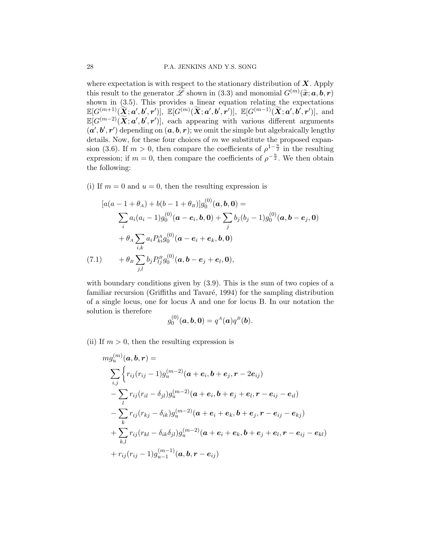where expectation is with respect to the stationary distribution of  $X$ . Apply this result to the generator  $\widetilde{\mathscr{L}}$  shown in (3.3) and monomial  $G^{(m)}(\widetilde{\mathbf{x}}; \mathbf{a}, \mathbf{b}, \mathbf{r})$ shown in (3.5). This provides a linear equation relating the expectations  $\mathbb{E}[G^{(m+1)}(\widetilde{\boldsymbol{X}};\boldsymbol{a}',\boldsymbol{b}',\boldsymbol{r}')] , \ \mathbb{E}[G^{(m)}(\widetilde{\boldsymbol{X}};\boldsymbol{a}',\boldsymbol{b}',\boldsymbol{r}')] , \ \mathbb{E}[G^{(m-1)}(\widetilde{\boldsymbol{X}};\boldsymbol{a}',\boldsymbol{b}',\boldsymbol{r}')] , \ \text{and}$  $\mathbb{E}[G^{(m-2)}(\widetilde{\bm{X}}; \bm{a}', \bm{b}', \bm{r}')]$ , each appearing with various different arguments  $(a', b', r')$  depending on  $(a, b, r)$ ; we omit the simple but algebraically lengthy details. Now, for these four choices of  $m$  we substitute the proposed expansion (3.6). If  $m > 0$ , then compare the coefficients of  $\rho^{1-\frac{u}{2}}$  in the resulting expression; if  $m = 0$ , then compare the coefficients of  $\rho^{-\frac{u}{2}}$ . We then obtain the following:

(i) If  $m = 0$  and  $u = 0$ , then the resulting expression is

$$
[a(a - 1 + \theta_A) + b(b - 1 + \theta_B)]g_0^{(0)}(\mathbf{a}, \mathbf{b}, \mathbf{0}) =
$$
  
\n
$$
\sum_i a_i (a_i - 1)g_0^{(0)}(\mathbf{a} - \mathbf{e}_i, \mathbf{b}, \mathbf{0}) + \sum_j b_j (b_j - 1)g_0^{(0)}(\mathbf{a}, \mathbf{b} - \mathbf{e}_j, \mathbf{0})
$$
  
\n
$$
+ \theta_A \sum_{i,k} a_i P_{ki}^A g_0^{(0)}(\mathbf{a} - \mathbf{e}_i + \mathbf{e}_k, \mathbf{b}, \mathbf{0})
$$
  
\n(7.1) 
$$
+ \theta_B \sum_{j,l} b_j P_{lj}^B g_0^{(0)}(\mathbf{a}, \mathbf{b} - \mathbf{e}_j + \mathbf{e}_l, \mathbf{0}),
$$

with boundary conditions given by  $(3.9)$ . This is the sum of two copies of a familiar recursion (Griffiths and Tavaré, 1994) for the sampling distribution of a single locus, one for locus A and one for locus B. In our notation the solution is therefore  $\sqrt{0}$ 

$$
g_0^{(0)}(\bm{a},\bm{b},\bm{0})=q^A(\bm{a})q^B(\bm{b}).
$$

(ii) If  $m > 0$ , then the resulting expression is

$$
m g_u^{(m)}(\bm{a},\bm{b},\bm{r}) = \\ \sum_{i,j} \Biggl\{ r_{ij} (r_{ij}-1) g_u^{(m-2)}(\bm{a}+\bm{e}_i,\bm{b}+\bm{e}_j,\bm{r}-2\bm{e}_{ij}) \\ - \sum_l r_{ij} (r_{il}-\delta_{jl}) g_u^{(m-2)}(\bm{a}+\bm{e}_i,\bm{b}+\bm{e}_j+\bm{e}_l,\bm{r}-\bm{e}_{ij}-\bm{e}_{il}) \\ - \sum_k r_{ij} (r_{kj}-\delta_{ik}) g_u^{(m-2)}(\bm{a}+\bm{e}_i+\bm{e}_k,\bm{b}+\bm{e}_j,\bm{r}-\bm{e}_{ij}-\bm{e}_{kj}) \\ + \sum_{k,l} r_{ij} (r_{kl}-\delta_{ik}\delta_{jl}) g_u^{(m-2)}(\bm{a}+\bm{e}_i+\bm{e}_k,\bm{b}+\bm{e}_j+\bm{e}_l,\bm{r}-\bm{e}_{ij}-\bm{e}_{kl}) \\ + r_{ij} (r_{ij}-1) g_{u-1}^{(m-1)}(\bm{a},\bm{b},\bm{r}-\bm{e}_{ij})
$$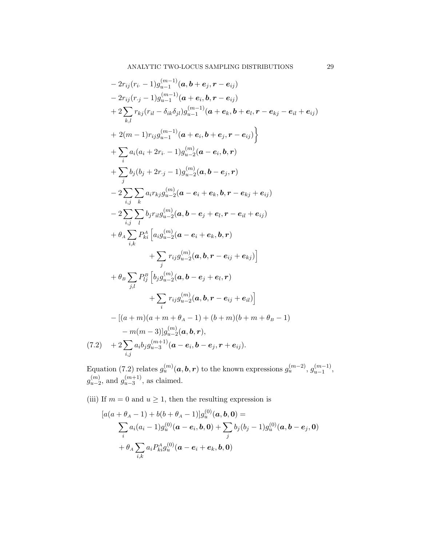$$
-2r_{ij}(r_{i} - 1)g_{u-1}^{(m-1)}(a, b + e_{j}, r - e_{ij})
$$
  
\n
$$
-2r_{ij}(r_{j} - 1)g_{u-1}^{(m-1)}(a + e_{i}, b, r - e_{ij})
$$
  
\n
$$
+2\sum_{k,l}r_{kj}(r_{il} - \delta_{ik}\delta_{jl})g_{u-1}^{(m-1)}(a + e_{k}, b + e_{l}, r - e_{kj} - e_{il} + e_{ij})
$$
  
\n
$$
+2(m-1)r_{ij}g_{u-1}^{(m-1)}(a + e_{i}, b + e_{j}, r - e_{ij})
$$
  
\n
$$
+ \sum_{i} a_{i}(a_{i} + 2r_{i} - 1)g_{u-2}^{(m)}(a - e_{i}, b, r)
$$
  
\n
$$
+ \sum_{j} b_{j}(b_{j} + 2r_{j} - 1)g_{u-2}^{(m)}(a, b - e_{j}, r)
$$
  
\n
$$
-2\sum_{i,j} \sum_{k} a_{i}r_{kj}g_{u-2}^{(m)}(a - e_{i} + e_{k}, b, r - e_{kj} + e_{ij})
$$
  
\n
$$
-2\sum_{i,j} \sum_{l} b_{j}r_{il}g_{u-2}^{(m)}(a, b - e_{j} + e_{l}, r - e_{il} + e_{ij})
$$
  
\n
$$
+ \theta_{A} \sum_{i,k} P_{ki}^{A} [a_{ij}g_{u-2}^{(m)}(a - e_{i} + e_{k}, b, r)
$$
  
\n
$$
+ \sum_{j,l} r_{ij}g_{u-2}^{(m)}(a, b, r - e_{ij} + e_{kj})]
$$
  
\n
$$
+ \theta_{B} \sum_{j,l} P_{lj}^{B} [b_{j}g_{u-2}^{(m)}(a, b - e_{j} + e_{l}, r)
$$
  
\n
$$
+ \sum_{i} r_{ij}g_{u-2}^{(m)}(a, b, r - e_{ij} + e_{il})]
$$
  
\n
$$
-[(a + m)(a + m + \theta_{A} - 1) + (b + m)(b + m + \theta_{B} - 1)
$$
  
\n
$$
-m(m -
$$

Equation (7.2) relates  $g_u^{(m)}(a, b, r)$  to the known expressions  $g_u^{(m-2)}$ ,  $g_{u-1}^{(m-1)}$  $\binom{m-1}{u-1},$  $g_{u-2}^{(m)}$  $\binom{m}{u-2}$ , and  $g_{u-3}^{(m+1)}$  $\binom{(m+1)}{u-3}$ , as claimed.

(iii) If  $m = 0$  and  $u \ge 1$ , then the resulting expression is

$$
[a(a + \theta_A - 1) + b(b + \theta_A - 1)]g_u^{(0)}(\boldsymbol{a}, \boldsymbol{b}, \boldsymbol{0}) =
$$
  

$$
\sum_i a_i (a_i - 1)g_u^{(0)}(\boldsymbol{a} - \boldsymbol{e}_i, \boldsymbol{b}, \boldsymbol{0}) + \sum_j b_j (b_j - 1)g_u^{(0)}(\boldsymbol{a}, \boldsymbol{b} - \boldsymbol{e}_j, \boldsymbol{0})
$$
  
+  $\theta_A \sum_{i,k} a_i P_{ki}^A g_u^{(0)}(\boldsymbol{a} - \boldsymbol{e}_i + \boldsymbol{e}_k, \boldsymbol{b}, \boldsymbol{0})$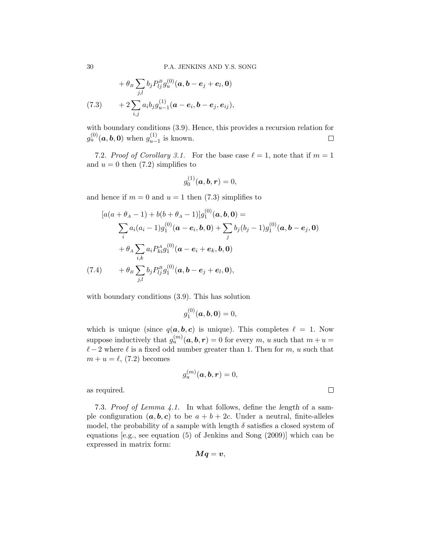$$
+\theta_B \sum_{j,l} b_j P_{lj}^B g_u^{(0)}(\mathbf{a}, \mathbf{b} - \mathbf{e}_j + \mathbf{e}_l, \mathbf{0})
$$
  
(7.3) 
$$
+ 2 \sum_{i,j} a_i b_j g_{u-1}^{(1)}(\mathbf{a} - \mathbf{e}_i, \mathbf{b} - \mathbf{e}_j, \mathbf{e}_{ij}),
$$

with boundary conditions (3.9). Hence, this provides a recursion relation for  $g_u^{(0)}(\boldsymbol{a},\boldsymbol{b},\boldsymbol{0})$  when  $g_{u-}^{(1)}$  $\sum_{u-1}^{(1)}$  is known.  $\Box$ 

7.2. Proof of Corollary 3.1. For the base case  $\ell = 1$ , note that if  $m = 1$ and  $u = 0$  then  $(7.2)$  simplifies to

$$
g_0^{(1)}(\bm{a},\bm{b},\bm{r})=0,
$$

and hence if  $m = 0$  and  $u = 1$  then (7.3) simplifies to

$$
[a(a + \theta_A - 1) + b(b + \theta_A - 1)]g_1^{(0)}(\mathbf{a}, \mathbf{b}, \mathbf{0}) =
$$
  

$$
\sum_i a_i (a_i - 1)g_1^{(0)}(\mathbf{a} - \mathbf{e}_i, \mathbf{b}, \mathbf{0}) + \sum_j b_j (b_j - 1)g_1^{(0)}(\mathbf{a}, \mathbf{b} - \mathbf{e}_j, \mathbf{0})
$$
  

$$
+ \theta_A \sum_{i,k} a_i P_{ki}^A g_1^{(0)}(\mathbf{a} - \mathbf{e}_i + \mathbf{e}_k, \mathbf{b}, \mathbf{0})
$$
  
(7.4) 
$$
+ \theta_B \sum_{j,l} b_j P_{lj}^B g_1^{(0)}(\mathbf{a}, \mathbf{b} - \mathbf{e}_j + \mathbf{e}_l, \mathbf{0}),
$$

with boundary conditions (3.9). This has solution

$$
g_1^{(0)}(\bm{a},\bm{b},\bm{0})=0,
$$

which is unique (since  $q(a, b, c)$  is unique). This completes  $\ell = 1$ . Now suppose inductively that  $g_u^{(m)}(\boldsymbol{a},\boldsymbol{b},\boldsymbol{r})=0$  for every  $m, u$  such that  $m+u=0$  $\ell - 2$  where  $\ell$  is a fixed odd number greater than 1. Then for m, u such that  $m + u = \ell$ , (7.2) becomes

$$
g_u^{(m)}(\boldsymbol{a},\boldsymbol{b},\boldsymbol{r})=0,
$$

 $\Box$ 

as required.

7.3. Proof of Lemma 4.1. In what follows, define the length of a sample configuration  $(a, b, c)$  to be  $a + b + 2c$ . Under a neutral, finite-alleles model, the probability of a sample with length  $\delta$  satisfies a closed system of equations [e.g., see equation (5) of Jenkins and Song (2009)] which can be expressed in matrix form:

$$
\boldsymbol{M}\boldsymbol{q}=\boldsymbol{v},
$$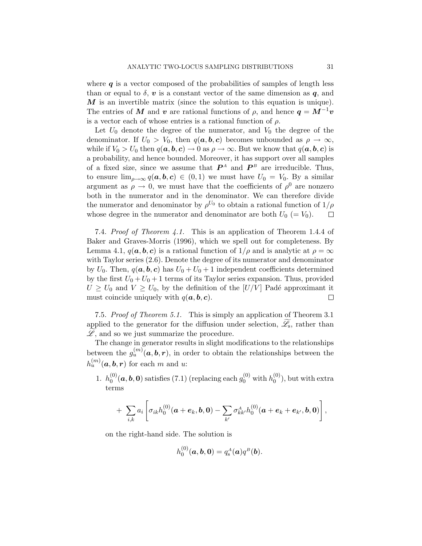where  $q$  is a vector composed of the probabilities of samples of length less than or equal to  $\delta$ , v is a constant vector of the same dimension as q, and  $M$  is an invertible matrix (since the solution to this equation is unique). The entries of M and v are rational functions of  $\rho$ , and hence  $q = M^{-1}v$ is a vector each of whose entries is a rational function of  $\rho$ .

Let  $U_0$  denote the degree of the numerator, and  $V_0$  the degree of the denominator. If  $U_0 > V_0$ , then  $q(a, b, c)$  becomes unbounded as  $\rho \to \infty$ , while if  $V_0 > U_0$  then  $q(a, b, c) \to 0$  as  $\rho \to \infty$ . But we know that  $q(a, b, c)$  is a probability, and hence bounded. Moreover, it has support over all samples of a fixed size, since we assume that  $P^A$  and  $P^B$  are irreducible. Thus, to ensure  $\lim_{\rho\to\infty} q(a, b, c) \in (0, 1)$  we must have  $U_0 = V_0$ . By a similar argument as  $\rho \to 0$ , we must have that the coefficients of  $\rho^0$  are nonzero both in the numerator and in the denominator. We can therefore divide the numerator and denominator by  $\rho^{U_0}$  to obtain a rational function of  $1/\rho$ whose degree in the numerator and denominator are both  $U_0 (= V_0)$ .  $\Box$ 

7.4. Proof of Theorem 4.1. This is an application of Theorem 1.4.4 of Baker and Graves-Morris (1996), which we spell out for completeness. By Lemma 4.1,  $q(a, b, c)$  is a rational function of  $1/\rho$  and is analytic at  $\rho = \infty$ with Taylor series (2.6). Denote the degree of its numerator and denominator by  $U_0$ . Then,  $q(a, b, c)$  has  $U_0 + U_0 + 1$  independent coefficients determined by the first  $U_0 + U_0 + 1$  terms of its Taylor series expansion. Thus, provided  $U \geq U_0$  and  $V \geq U_0$ , by the definition of the  $|U/V|$  Padé approximant it must coincide uniquely with  $q(a, b, c)$ . □

7.5. Proof of Theorem 5.1. This is simply an application of Theorem 3.1 applied to the generator for the diffusion under selection,  $\mathscr{L}_{s}$ , rather than  $\mathscr{L}$ , and so we just summarize the procedure.

The change in generator results in slight modifications to the relationships between the  $g_u^{(m)}(a, b, r)$ , in order to obtain the relationships between the  $h_u^{(m)}(\boldsymbol{a},\boldsymbol{b},\boldsymbol{r})$  for each m and u:

1.  $h_0^{(0)}$  $\hat{\theta}^{(0)}_0(\bm{a},\bm{b},\bm{0})$  satisfies (7.1) (replacing each  $g_0^{(0)}$  with  $h_0^{(0)}$  $\binom{0}{0}$ , but with extra terms

+ 
$$
\sum_{i,k} a_i \left[ \sigma_{ik} h_0^{(0)}(\boldsymbol{a} + \boldsymbol{e}_k, \boldsymbol{b}, 0) - \sum_{k'} \sigma_{kk'}^A h_0^{(0)}(\boldsymbol{a} + \boldsymbol{e}_k + \boldsymbol{e}_{k'}, \boldsymbol{b}, 0) \right],
$$

on the right-hand side. The solution is

$$
h_0^{(0)}(\bm{a},\bm{b},\bm{0})=q_{\rm s}^A(\bm{a})q^B(\bm{b}).
$$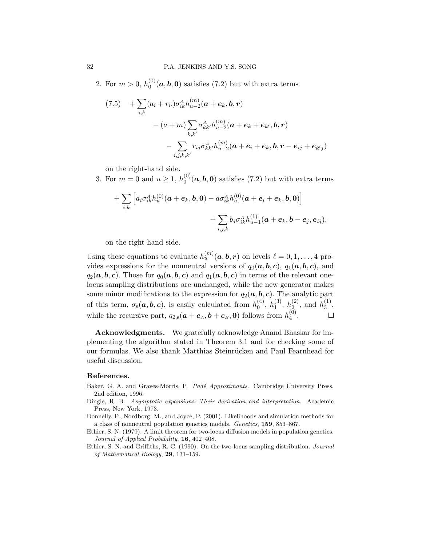2. For  $m > 0, h_0^{(0)}$  $\mathcal{L}_0^{(0)}(\boldsymbol{a},\boldsymbol{b},\boldsymbol{0})$  satisfies (7.2) but with extra terms

$$
(7.5) + \sum_{i,k} (a_i + r_i) \sigma_{ik}^A h_{u-2}^{(m)} (\boldsymbol{a} + \boldsymbol{e}_k, \boldsymbol{b}, \boldsymbol{r})
$$

$$
- (a + m) \sum_{k,k'} \sigma_{kk'}^A h_{u-2}^{(m)} (\boldsymbol{a} + \boldsymbol{e}_k + \boldsymbol{e}_{k'}, \boldsymbol{b}, \boldsymbol{r})
$$

$$
- \sum_{i,j,k,k'} r_{ij} \sigma_{kk'}^A h_{u-2}^{(m)} (\boldsymbol{a} + \boldsymbol{e}_i + \boldsymbol{e}_k, \boldsymbol{b}, \boldsymbol{r} - \boldsymbol{e}_{ij} + \boldsymbol{e}_{k'j})
$$

on the right-hand side.

3. For  $m = 0$  and  $u \ge 1$ ,  $h_0^{(0)}$  $\mathcal{L}_0^{(0)}(\boldsymbol{a},\boldsymbol{b},\boldsymbol{0})$  satisfies (7.2) but with extra terms

+
$$
\sum_{i,k} \left[ a_i \sigma_{ik}^A h_u^{(0)}(\bm{a}+\bm{e}_k,\bm{b},\bm{0}) - a \sigma_{ik}^A h_u^{(0)}(\bm{a}+\bm{e}_i+\bm{e}_k,\bm{b},\bm{0}) \right] + \sum_{i,j,k} b_j \sigma_{ik}^A h_{u-1}^{(1)}(\bm{a}+\bm{e}_k,\bm{b}-\bm{e}_j,\bm{e}_{ij}),
$$

on the right-hand side.

Using these equations to evaluate  $h_u^{(m)}(a, b, r)$  on levels  $\ell = 0, 1, \ldots, 4$  provides expressions for the nonneutral versions of  $q_0(a, b, c)$ ,  $q_1(a, b, c)$ , and  $q_2(a, b, c)$ . Those for  $q_0(a, b, c)$  and  $q_1(a, b, c)$  in terms of the relevant onelocus sampling distributions are unchanged, while the new generator makes some minor modifications to the expression for  $q_2(a, b, c)$ . The analytic part of this term,  $\sigma_s(\boldsymbol{a}, \boldsymbol{b}, \boldsymbol{c})$ , is easily calculated from  $h_0^{(4)}$  $\binom{4}{0}, h_1^{(3)}$  $\binom{3}{1}, h_2^{(2)}$  $\binom{2}{2}$ , and  $h_3^{(1)}$  $\frac{1}{3}$ , while the recursive part,  $q_{2,s}(\boldsymbol{a}+\boldsymbol{c}_A,\boldsymbol{b}+\boldsymbol{c}_B,\boldsymbol{0})$  follows from  $h_4^{(0)}$  $\binom{0}{4}$ .  $\Box$ 

Acknowledgments. We gratefully acknowledge Anand Bhaskar for implementing the algorithm stated in Theorem 3.1 and for checking some of our formulas. We also thank Matthias Steinrücken and Paul Fearnhead for useful discussion.

## References.

- Baker, G. A. and Graves-Morris, P. Padé Approximants. Cambridge University Press, 2nd edition, 1996.
- Dingle, R. B. Asymptotic expansions: Their derivation and interpretation. Academic Press, New York, 1973.
- Donnelly, P., Nordborg, M., and Joyce, P. (2001). Likelihoods and simulation methods for a class of nonneutral population genetics models. Genetics, 159, 853–867.
- Ethier, S. N. (1979). A limit theorem for two-locus diffusion models in population genetics. Journal of Applied Probability, 16, 402–408.
- Ethier, S. N. and Griffiths, R. C. (1990). On the two-locus sampling distribution. Journal of Mathematical Biology, 29, 131–159.